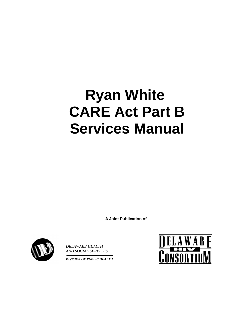# **Ryan White CARE Act Part B Services Manual**

**A Joint Publication of** 



*DELAWARE HEALTH AND SOCIAL SERVICES*

*DIVISION OF PUBLIC HEALTH*

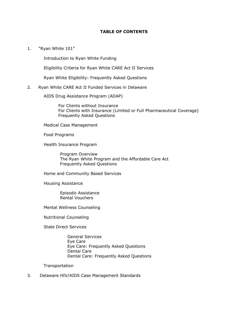#### **TABLE OF CONTENTS**

1. "Ryan White 101"

Introduction to Ryan White Funding

Eligibility Criteria for Ryan White CARE Act II Services

Ryan White Eligibility: Frequently Asked Questions

#### 2. Ryan White CARE Act II Funded Services in Delaware

AIDS Drug Assistance Program (ADAP)

For Clients without Insurance For Clients with Insurance (Limited or Full Pharmaceutical Coverage) Frequently Asked Questions

Medical Case Management

Food Programs

Health Insurance Program

Program Overview The Ryan White Program and the Affordable Care Act Frequently Asked Questions

Home and Community Based Services

Housing Assistance

Episodic Assistance Rental Vouchers

Mental Wellness Counseling

Nutritional Counseling

State Direct Services

General Services Eye Care Eye Care: Frequently Asked Questions Dental Care Dental Care: Frequently Asked Questions

Transportation

3. Delaware HIV/AIDS Case Management Standards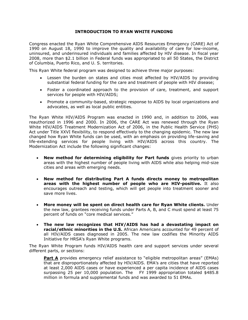#### **INTRODUCTION TO RYAN WHITE FUNDING**

Congress enacted the Ryan White Comprehensive AIDS Resources Emergency (CARE) Act of 1990 on August 18, 1990 to improve the quality and availability of care for low-income, uninsured, and underinsured individuals and families affected by HIV disease. In fiscal year 2008, more than \$2.1 billion in Federal funds was appropriated to all 50 States, the District of Columbia, Puerto Rico, and U. S. territories.

This Ryan White federal program was designed to achieve three major purposes:

- Lessen the burden on states and cities most affected by HIV/AIDS by providing substantial federal funding for the care and treatment of people with HIV disease;
- Foster a coordinated approach to the provision of care, treatment, and support services for people with HIV/AIDS;
- Promote a community-based, strategic response to AIDS by local organizations and advocates, as well as local public entities.

The Ryan White HIV/AIDS Program was enacted in 1990 and, in addition to 2006, was reauthorized in 1996 and 2000. In 2006, the CARE Act was renewed through the Ryan White HIV/AIDS Treatment Modernization Act of 2006, in the Public Health Service (PHS) Act under Title XXVI flexibility, to respond effectively to the changing epidemic. The new law changed how Ryan White funds can be used, with an emphasis on providing life-saving and life-extending services for people living with HIV/AIDS across this country. The Modernization Act include the following significant changes:

- **New method for determining eligibility for Part funds** gives priority to urban areas with the highest number of people living with AIDS while also helping mid-size cities and areas with emerging needs.
- **New method for distributing Part A funds directs money to metropolitan areas with the highest number of people who are HIV-positive.** It also encourages outreach and testing, which will get people into treatment sooner and save more lives.
- **More money will be spent on direct health care for Ryan White clients.** Under the new law, grantees receiving funds under Parts A, B, and C must spend at least 75 percent of funds on "core medical services."
- **The new law recognizes that HIV/AIDS has had a devastating impact on racial/ethnic minorities in the U.S.** African Americans accounted for 49 percent of all HIV/AIDS cases diagnosed in 2005. The new law codifies the Minority AIDS Initiative for HRSA's Ryan White programs.

The Ryan White Program funds HIV/AIDS health care and support services under several different parts, or sections:

**Part A** provides emergency relief assistance to "eligible metropolitan areas" (EMAs) that are disproportionately affected by HIV/AIDS. EMA's are cities that have reported at least 2,000 AIDS cases or have experienced a per capita incidence of AIDS cases surpassing 25 per 10,000 population. The FY 1999 appropriation totaled \$485.8 million in formula and supplemental funds and was awarded to 51 EMAs.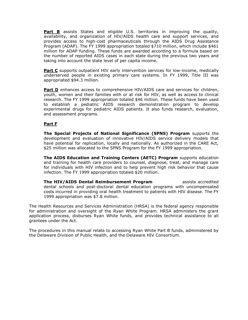**Part B** assists States and eligible U.S. territories in improving the quality, availability, and organization of HIV/AIDS health care and support services, and provides access to high-cost pharmaceuticals through the AIDS Drug Assistance Program (ADAP). The FY 1999 appropriation totaled \$710 million, which include \$461 million for ADAP funding. These funds are awarded according to a formula based on the number of reported AIDS cases in each state during the previous two years and taking into account the state level of per capita income.

**Part C** supports outpatient HIV early intervention services for low-income, medically underserved people in existing primary care systems. In FY 1999, Title III was appropriated \$94.3 million.

**Part D** enhances access to comprehensive HIV/AIDS care and services for children, youth, women and their families with or at risk for HIV, as well as access to clinical research. The FY 1999 appropriation totaled \$46 million. These funds have been used to establish a pediatric AIDS research demonstration program to develop experimental drugs for pediatric AIDS patients. It also funds research, evaluation, and assessment programs.

#### **Part F**

**The Special Projects of National Significance (SPNS) Program** supports the development and evaluation of innovative HIV/AIDS service delivery models that have potential for replication, locally and nationally. As authorized in the CARE Act, \$25 million was allocated to the SPNS Program for the FY 1999 appropriation.

**The AIDS Education and Training Centers (AETC) Program** supports education and training for health care providers to counsel, diagnose, treat, and manage care for individuals with HIV infection and to help prevent high risk behavior that cause infection. The FY 1999 appropriation totaled \$20 million.

**The HIV/AIDS Dental Reimbursement Program The HIV/AIDS Dental Reimbursement Program** dental schools and post-doctoral dental education programs with uncompensated costs incurred in providing oral health treatment to patients with HIV disease. The FY 1999 appropriation was \$7.8 million.

The Health Resources and Services Administration (HRSA) is the federal agency responsible for administration and oversight of the Ryan White Program. HRSA administers the grant application process, disburses Ryan White funds, and provides technical assistance to all grantees under the Act.

The procedures in this manual relate to accessing Ryan White Part B funds, administered by the Delaware Division of Public Health, and the Delaware HIV Consortium.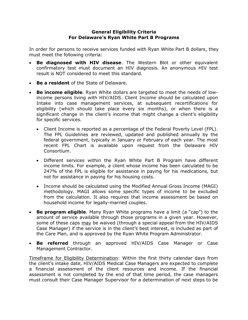#### **General Eligibility Criteria For Delaware's Ryan White Part B Programs**

In order for persons to receive services funded with Ryan White Part B dollars, they must meet the following criteria:

- **Be diagnosed with HIV disease**. The Western Blot or other equivalent confirmatory test must document an HIV diagnosis. An anonymous HIV test result is NOT considered to meet this standard.
- **Be a resident** of the State of Delaware.
- **Be income eligible**. Ryan White dollars are targeted to meet the needs of lowincome persons living with HIV/AIDS. Client Income should be calculated upon Intake into case management services, at subsequent recertifications for eligibility (which should take place every six months), or when there is a significant change in the client's income that might change a client's eligibility for specific services.
	- Client Income is reported as a percentage of the Federal Poverty Level (FPL). The FPL Guidelines are reviewed, updated and published annually by the federal government, typically in January or February of each year. The most recent FPL Chart is available upon request from the Delaware HIV Consortium.
	- Different services within the Ryan White Part B Program have different income limits. For example, a client whose income has been calculated to be 247% of the FPL is eligible for assistance in paying for his medications, but not for assistance in paying for his housing costs.
	- Income should be calculated using the Modified Annual Gross Income (MAGI) methodology. MAGI allows some specific types of income to be excluded from the calculation. It also requires that income assessment be based on household income for legally-married couples.
- **Be program eligible**. Many Ryan White programs have a limit (a "cap") to the amount of service available through those programs in a given year. However, some of these caps may be waived (through a special appeal from the HIV/AIDS Case Manager) if the service is in the client's best interest, is included as part of the Care Plan, and is approved by the Ryan White Program Administrator.
- **Be referred** through an approved HIV/AIDS Case Manager or Case Management Contractor.

Timeframe for Eligibility Determination: Within the first thirty calendar days from the client's intake date, HIV/AIDS Medical Case Managers are expected to complete a financial assessment of the client resources and income. If the financial assessment is not completed by the end of that time period, the case managers must consult their Case Manager Supervisor for a determination of next steps to be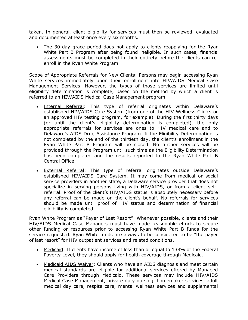taken. In general, client eligibility for services must then be reviewed, evaluated and documented at least once every six months.

 The 30-day grace period does not apply to clients reapplying for the Ryan White Part B Program after being found ineligible. In such cases, financial assessments must be completed in their entirety before the clients can reenroll in the Ryan White Program.

Scope of Appropriate Referrals for New Clients: Persons may begin accessing Ryan White services immediately upon their enrollment into HIV/AIDS Medical Case Management Services. However, the types of those services are limited until eligibility determination is complete, based on the method by which a client is referred to an HIV/AIDS Medical Case Management program.

- . Internal Referral: This type of referral originates within Delaware's established HIV/AIDS Care System (from one of the HIV Wellness Clinics or an approved HIV testing program, for example). During the first thirty days (or until the client's eligibility determination is completed), the only appropriate referrals for services are ones to HIV medical care and to Delaware's AIDS Drug Assistance Program. If the Eligibility Determination is not completed by the end of the thirtieth day, the client's enrollment in the Ryan White Part B Program will be closed. No further services will be provided through the Program until such time as the Eligibility Determination has been completed and the results reported to the Ryan White Part B Central Office.
- **External Referral:** This type of referral originates outside Delaware's established HIV/AIDS Care System. It may come from medical or social service providers in another state, a Delaware service provider that does not specialize in serving persons living with HIV/AIDS, or from a client selfreferral. Proof of the client's HIV/AIDS status is absolutely necessary before any referral can be made on the client's behalf. No referrals for services should be made until proof of HIV status and determination of financial eligibility is completed.

Ryan White Program as "Payer of Last Resort": Whenever possible, clients and their HIV/AIDS Medical Case Managers must have made reasonable efforts to secure other funding or resources prior to accessing Ryan White Part B funds for the service requested. Ryan White funds are always to be considered to be "the payer of last resort" for HIV outpatient services and related conditions.

- Medicaid: If clients have income of less than or equal to 138% of the Federal Poverty Level, they should apply for health coverage through Medicaid.
- Medicaid AIDS Waiver: Clients who have an AIDS diagnosis and meet certain medical standards are eligible for additional services offered by Managed Care Providers through Medicaid. These services may include HIV/AIDS Medical Case Management, private duty nursing, homemaker services, adult medical day care, respite care, mental wellness services and supplemental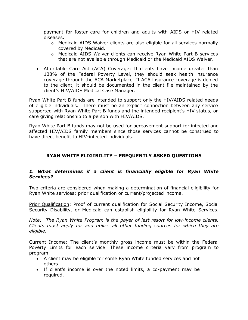payment for foster care for children and adults with AIDS or HIV related diseases.

- $\circ$  Medicaid AIDS Waiver clients are also eligible for all services normally covered by Medicaid.
- o Medicaid AIDS Waiver clients can receive Ryan White Part B services that are not available through Medicaid or the Medicaid AIDS Waiver.
- Affordable Care Act (ACA) Coverage: If clients have income greater than 138% of the Federal Poverty Level, they should seek health insurance coverage through the ACA Marketplace. If ACA insurance coverage is denied to the client, it should be documented in the client file maintained by the client's HIV/AIDS Medical Case Manager.

Ryan White Part B funds are intended to support only the HIV/AIDS related needs of eligible individuals. There must be an explicit connection between any service supported with Ryan White Part B funds and the intended recipient's HIV status, or care giving relationship to a person with HIV/AIDS.

Ryan White Part B funds may not be used for bereavement support for infected and affected HIV/AIDS family members since those services cannot be construed to have direct benefit to HIV-infected individuals.

# **RYAN WHITE ELIGIBILITY – FREQUENTLY ASKED QUESTIONS**

## *1. What determines if a client is financially eligible for Ryan White Services?*

Two criteria are considered when making a determination of financial eligibility for Ryan White services: prior qualification or current/projected income.

Prior Qualification: Proof of current qualification for Social Security Income, Social Security Disability, or Medicaid can establish eligibility for Ryan White Services.

*Note: The Ryan White Program is the payer of last resort for low-income clients. Clients must apply for and utilize all other funding sources for which they are eligible.*

Current Income: The client's monthly gross income must be within the Federal Poverty Limits for each service. These income criteria vary from program to program.

- A client may be eligible for some Ryan White funded services and not others.
- If client's income is over the noted limits, a co-payment may be required.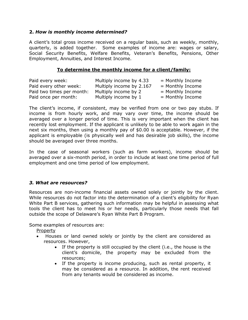## **2.** *How is monthly income determined?*

A client's total gross income received on a regular basis, such as weekly, monthly, quarterly, is added together. Some examples of income are: wages or salary, Social Security Benefits, Welfare Benefits, Veteran's Benefits, Pensions, Other Employment, Annuities, and Interest Income.

## **To determine the monthly income for a client/family:**

| Paid every week:          | Multiply income by 4.33  | $=$ Monthly Income |
|---------------------------|--------------------------|--------------------|
| Paid every other week:    | Multiply income by 2.167 | $=$ Monthly Income |
| Paid two times per month: | Multiply income by 2     | $=$ Monthly Income |
| Paid once per month:      | Multiply income by 1     | $=$ Monthly Income |

The client's income, if consistent, may be verified from one or two pay stubs. If income is from hourly work, and may vary over time, the income should be averaged over a longer period of time. This is very important when the client has recently lost employment. If the applicant is unlikely to be able to work again in the next six months, then using a monthly pay of \$0.00 is acceptable. However, if the applicant is employable (is physically well and has desirable job skills), the income should be averaged over three months.

In the case of seasonal workers (such as farm workers), income should be averaged over a six-month period, in order to include at least one time period of full employment and one time period of low employment.

## *3. What are resources?*

Resources are non-income financial assets owned solely or jointly by the client. While resources do not factor into the determination of a client's eligibility for Ryan White Part B services, gathering such information may be helpful in assessing what tools the client has to meet his or her needs, particularly those needs that fall outside the scope of Delaware's Ryan White Part B Program.

Some examples of resources are:

Property

- Houses or land owned solely or jointly by the client are considered as resources. However,
	- If the property is still occupied by the client (i.e., the house is the client's domicile, the property may be excluded from the resources;
	- If the property is income producing, such as rental property, it may be considered as a resource. In addition, the rent received from any tenants would be considered as income.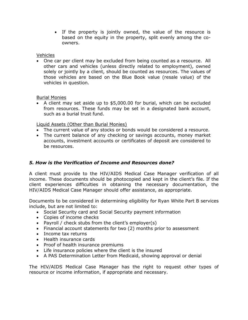• If the property is jointly owned, the value of the resource is based on the equity in the property, split evenly among the coowners.

Vehicles

 One car per client may be excluded from being counted as a resource. All other cars and vehicles (unless directly related to employment), owned solely or jointly by a client, should be counted as resources. The values of those vehicles are based on the Blue Book value (resale value) of the vehicles in question.

Burial Monies

 A client may set aside up to \$5,000.00 for burial, which can be excluded from resources. These funds may be set in a designated bank account, such as a burial trust fund.

Liquid Assets (Other than Burial Monies)

- The current value of any stocks or bonds would be considered a resource.
- The current balance of any checking or savings accounts, money market accounts, investment accounts or certificates of deposit are considered to be resources.

# *5. How is the Verification of Income and Resources done?*

A client must provide to the HIV/AIDS Medical Case Manager verification of all income. These documents should be photocopied and kept in the client's file. If the client experiences difficulties in obtaining the necessary documentation, the HIV/AIDS Medical Case Manager should offer assistance, as appropriate.

Documents to be considered in determining eligibility for Ryan White Part B services include, but are not limited to:

- Social Security card and Social Security payment information
- Copies of income checks
- Payroll / check stubs from the client's employer(s)
- Financial account statements for two (2) months prior to assessment
- Income tax returns
- Health insurance cards
- Proof of health insurance premiums
- Life insurance policies where the client is the insured
- A PAS Determination Letter from Medicaid, showing approval or denial

The HIV/AIDS Medical Case Manager has the right to request other types of resource or income information, if appropriate and necessary.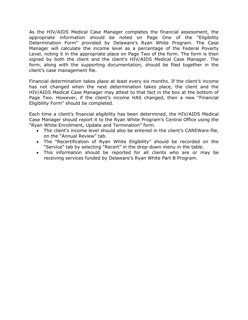As the HIV/AIDS Medical Case Manager completes the financial assessment, the appropriate information should be noted on Page One of the "Eligibility Determination Form" provided by Delaware's Ryan White Program. The Case Manager will calculate the income level as a percentage of the Federal Poverty Level, noting it in the appropriate place on Page Two of the form. The form is then signed by both the client and the client's HIV/AIDS Medical Case Manager. The form, along with the supporting documentation, should be filed together in the client's case management file.

Financial determination takes place at least every six months. If the client's income has not changed when the next determination takes place, the client and the HIV/AIDS Medical Case Manager may attest to that fact in the box at the bottom of Page Two. However, if the client's income HAS changed, then a new "Financial Eligibility Form" should be completed.

Each time a client's financial eligibility has been determined, the HIV/AIDS Medical Case Manager should report it to the Ryan White Program's Central Office using the "Ryan White Enrollment, Update and Termination" form.

- The client's income level should also be entered in the client's CAREWare file, on the "Annual Review" tab.
- The "Recertification of Ryan White Eligibility" should be recorded on the "Service" tab by selecting "Recert" in the drop-down menu in the table.
- This information should be reported for all clients who are or may be receiving services funded by Delaware's Ryan White Part B Program.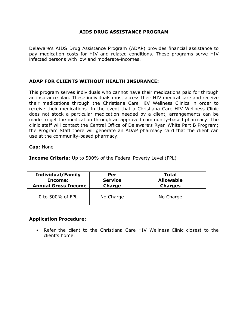## **AIDS DRUG ASSISTANCE PROGRAM**

Delaware's AIDS Drug Assistance Program (ADAP) provides financial assistance to pay medication costs for HIV and related conditions. These programs serve HIV infected persons with low and moderate-incomes.

# **ADAP FOR CLIENTS WITHOUT HEALTH INSURANCE:**

This program serves individuals who cannot have their medications paid for through an insurance plan. These individuals must access their HIV medical care and receive their medications through the Christiana Care HIV Wellness Clinics in order to receive their medications. In the event that a Christiana Care HIV Wellness Clinic does not stock a particular medication needed by a client, arrangements can be made to get the medication through an approved community-based pharmacy. The clinic staff will contact the Central Office of Delaware's Ryan White Part B Program; the Program Staff there will generate an ADAP pharmacy card that the client can use at the community-based pharmacy.

#### **Cap:** None

**Income Criteria**: Up to 500% of the Federal Poverty Level (FPL)

| <b>Individual/Family</b>   | Per            | Total            |
|----------------------------|----------------|------------------|
| Income:                    | <b>Service</b> | <b>Allowable</b> |
| <b>Annual Gross Income</b> | <b>Charge</b>  | <b>Charges</b>   |
| 0 to 500% of FPL           | No Charge      | No Charge        |

## **Application Procedure:**

 Refer the client to the Christiana Care HIV Wellness Clinic closest to the client's home.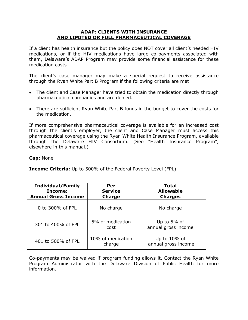#### **ADAP: CLIENTS WITH INSURANCE AND LIMITED OR FULL PHARMACEUTICAL COVERAGE**

If a client has health insurance but the policy does NOT cover all client's needed HIV medications, or if the HIV medications have large co-payments associated with them, Delaware's ADAP Program may provide some financial assistance for these medication costs.

The client's case manager may make a special request to receive assistance through the Ryan White Part B Program if the following criteria are met:

- The client and Case Manager have tried to obtain the medication directly through pharmaceutical companies and are denied.
- There are sufficient Ryan White Part B funds in the budget to cover the costs for the medication.

If more comprehensive pharmaceutical coverage is available for an increased cost through the client's employer, the client and Case Manager must access this pharmaceutical coverage using the Ryan White Health Insurance Program, available through the Delaware HIV Consortium. (See "Health Insurance Program", elsewhere in this manual.)

**Cap:** None

**Income Criteria:** Up to 500% of the Federal Poverty Level (FPL)

| <b>Individual/Family</b><br>Income:<br><b>Annual Gross Income</b> | Per<br><b>Service</b><br><b>Charge</b> | <b>Total</b><br><b>Allowable</b><br><b>Charges</b> |
|-------------------------------------------------------------------|----------------------------------------|----------------------------------------------------|
| 0 to 300% of FPL                                                  | No charge                              | No charge                                          |
| 301 to 400% of FPL                                                | 5% of medication<br>cost               | Up to 5% of<br>annual gross income                 |
| 401 to 500% of FPL                                                | 10% of medication<br>charge            | Up to $10\%$ of<br>annual gross income             |

Co-payments may be waived if program funding allows it. Contact the Ryan White Program Administrator with the Delaware Division of Public Health for more information.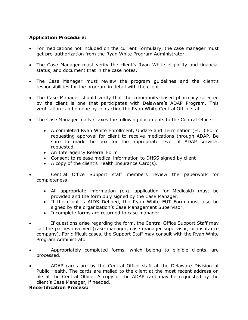# **Application Procedure:**

- For medications not included on the current Formulary, the case manager must get pre-authorization from the Ryan White Program Administrator.
- The Case Manager must verify the client's Ryan White eligibility and financial status, and document that in the case notes.
- The Case Manager must review the program guidelines and the client's responsibilities for the program in detail with the client.
- The Case Manager should verify that the community-based pharmacy selected by the client is one that participates with Delaware's ADAP Program. This verification can be done by contacting the Ryan White Central Office staff.
- The Case Manager mails / faxes the following documents to the Central Office:
	- A completed Ryan White Enrollment, Update and Termination (EUT) Form requesting approval for client to receive medications through ADAP. Be sure to mark the box for the appropriate level of ADAP services requested.
	- An Interagency Referral Form
	- Consent to release medical information to DHSS signed by client
	- A copy of the client's Health Insurance Card $(s)$ .
- Central Office Support staff members review the paperwork for completeness:
	- All appropriate information (e.g. application for Medicaid) must be provided and the form duly signed by the Case Manager.
	- If the client is AIDS Defined, the Ryan White EUT Form must also be signed by the organization's Case Management Supervisor.
	- Incomplete forms are returned to case manager.
- If questions arise regarding the form, the Central Office Support Staff may call the parties involved (case manager, case manager supervisor, or insurance company). For difficult cases, the Support Staff may consult with the Ryan White Program Administrator.
- Appropriately completed forms, which belong to eligible clients, are processed.
- ADAP cards are by the Central Office staff at the Delaware Division of Public Health. The cards are mailed to the client at the most recent address on file at the Central Office. A copy of the ADAP card may be requested by the client's Case Manager, if needed.

## **Recertification Process:**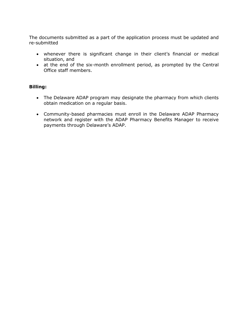The documents submitted as a part of the application process must be updated and re-submitted

- whenever there is significant change in their client's financial or medical situation, and
- at the end of the six-month enrollment period, as prompted by the Central Office staff members.

## **Billing:**

- The Delaware ADAP program may designate the pharmacy from which clients obtain medication on a regular basis.
- Community-based pharmacies must enroll in the Delaware ADAP Pharmacy network and register with the ADAP Pharmacy Benefits Manager to receive payments through Delaware's ADAP.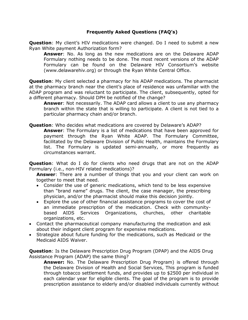# **Frequently Asked Questions (FAQ's)**

**Question**: My client's HIV medications were changed. Do I need to submit a new Ryan White payment Authorization form?

**Answer**: No. As long as the new medications are on the Delaware ADAP Formulary nothing needs to be done. The most recent versions of the ADAP Formulary can be found on the Delaware HIV Consortium's website (www.delawarehiv.org) or through the Ryan White Central Office.

**Question**: My client selected a pharmacy for his ADAP medications. The pharmacist at the pharmacy branch near the client's place of residence was unfamiliar with the ADAP program and was reluctant to participate. The client, subsequently, opted for a different pharmacy. Should DPH be notified of the change?

**Answer**: Not necessarily. The ADAP card allows a client to use any pharmacy branch within the state that is willing to participate. A client is not tied to a particular pharmacy chain and/or branch.

**Question**: Who decides what medications are covered by Delaware's ADAP?

**Answer**: The Formulary is a list of medications that have been approved for payment through the Ryan White ADAP. The Formulary Committee, facilitated by the Delaware Division of Public Health, maintains the Formulary list. The Formulary is updated semi-annually, or more frequently as circumstances warrant.

**Question**: What do I do for clients who need drugs that are not on the ADAP Formulary (i.e., non-HIV related medications)?

**Answer**: There are a number of things that you and your client can work on together to meet that need.

- Consider the use of generic medications, which tend to be less expensive than "brand name" drugs. The client, the case manager, the prescribing physician, and/or the pharmacist should make this decision jointly.
- Explore the use of other financial assistance programs to cover the cost of an immediate prescription of the medication. Check with communitybased AIDS Services Organizations, churches, other charitable organizations, etc.
- Contact the pharmaceutical company manufacturing the medication and ask about their indigent client program for expensive medications.
- Strategize about future funding for the medications, such as Medicaid or the Medicaid AIDS Waiver.

**Question**: Is the Delaware Prescription Drug Program (DPAP) and the AIDS Drug Assistance Program (ADAP) the same thing?

**Answer:** No. The Delaware Prescription Drug Program) is offered through the Delaware Division of Health and Social Services, This program is funded through tobacco settlement funds, and provides up to \$2500 per individual in each calendar year for eligible clients. The goal of the program is to provide prescription assistance to elderly and/or disabled individuals currently without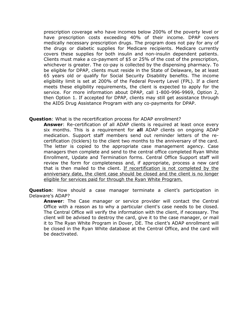prescription coverage who have incomes below 200% of the poverty level or have prescription costs exceeding 40% of their income. DPAP covers medically necessary prescription drugs. The program does not pay for any of the drugs or diabetic supplies for Medicare recipients. Medicare currently covers these supplies for both insulin and non-insulin dependent patients. Clients must make a co-payment of \$5 or 25% of the cost of the prescription, whichever is greater. The co-pay is collected by the dispensing pharmacy. To be eligible for DPAP, clients must reside in the State of Delaware, be at least 65 years old or qualify for Social Security Disability benefits. The income eligibility limit is set at 200% of the Federal Poverty Level (FPL). If a client meets these eligibility requirements, the client is expected to apply for the service. For more information about DPAP, call 1-800-996-9969, Option 2, then Option 1. If accepted for DPAP, clients may still get assistance through the AIDS Drug Assistance Program with any co-payments for DPAP.

#### **Question**: What is the recertification process for ADAP enrollment?

**Answer**: Re-certification of all ADAP clients is required at least once every six months. This is a requirement for **all** ADAP clients on ongoing ADAP medication. Support staff members send out reminder letters of the recertification (ticklers) to the client two months to the anniversary of the card. The letter is copied to the appropriate case management agency. Case managers then complete and send to the central office completed Ryan White Enrollment, Update and Termination forms. Central Office Support staff will review the form for completeness and, if appropriate, process a new card that is then mailed to the client. If recertification is not completed by the anniversary date, the client case should be closed and the client is no longer eligible for services paid for through the Ryan White Program.

**Question**: How should a case manager terminate a client's participation in Delaware's ADAP?

**Answer**: The Case manager or service provider will contact the Central Office with a reason as to why a particular client's case needs to be closed. The Central Office will verify the information with the client, if necessary. The client will be advised to destroy the card, give it to the case manager, or mail it to The Ryan White Program in Dover, DE. The client's ADAP enrollment will be closed in the Ryan White database at the Central Office, and the card will be deactivated.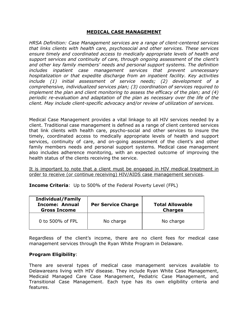#### **MEDICAL CASE MANAGEMENT**

*HRSA Definition: Case Management services are a range of client-centered services that links clients with health care, psychosocial and other services. These services ensure timely and coordinated access to medically appropriate levels of health and support services and continuity of care, through ongoing assessment of the client's and other key family members' needs and personal support systems. The definition includes inpatient case management services that prevent unnecessary hospitalization or that expedite discharge from an inpatient facility. Key activities include (1) initial assessment of service needs; (2) development of a comprehensive, individualized services plan; (3) coordination of services required to implement the plan and client monitoring to assess the efficacy of the plan; and (4) periodic re-evaluation and adaptation of the plan as necessary over the life of the client. May include client-specific advocacy and/or review of utilization of services.*

Medical Case Management provides a vital linkage to all HIV services needed by a client. Traditional case management is defined as a range of client centered services that link clients with health care, psycho-social and other services to insure the timely, coordinated access to medically appropriate levels of health and support services, continuity of care, and on-going assessment of the client's and other family members needs and personal support systems. Medical case management also includes adherence monitoring, with an expected outcome of improving the health status of the clients receiving the service.

It is important to note that a client must be engaged in HIV medical treatment in order to receive (or continue receiving) HIV/AIDS case management services.

**Income Criteria**: Up to 500% of the Federal Poverty Level (FPL)

| <b>Individual/Family</b><br><b>Income: Annual</b><br><b>Gross Income</b> | <b>Per Service Charge</b> | <b>Total Allowable</b><br><b>Charges</b> |
|--------------------------------------------------------------------------|---------------------------|------------------------------------------|
| 0 to 500% of FPL                                                         | No charge                 | No charge                                |

Regardless of the client's income, there are no client fees for medical case management services through the Ryan White Program in Delaware.

## **Program Eligibility**:

There are several types of medical case management services available to Delawareans living with HIV disease. They include Ryan White Case Management, Medicaid Managed Care Case Management, Pediatric Case Management, and Transitional Case Management. Each type has its own eligibility criteria and features.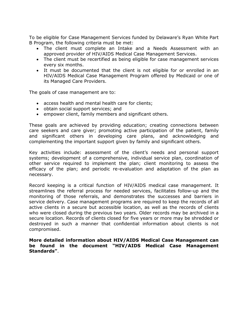To be eligible for Case Management Services funded by Delaware's Ryan White Part B Program, the following criteria must be met:

- The client must complete an Intake and a Needs Assessment with an approved provider of HIV/AIDS Medical Case Management Services.
- The client must be recertified as being eligible for case management services every six months.
- It must be documented that the client is not eligible for or enrolled in an HIV/AIDS Medical Case Management Program offered by Medicaid or one of its Managed Care Providers.

The goals of case management are to:

- access health and mental health care for clients;
- obtain social support services; and
- empower client, family members and significant others.

These goals are achieved by providing education; creating connections between care seekers and care giver; promoting active participation of the patient, family and significant others in developing care plans, and acknowledging and complementing the important support given by family and significant others.

Key activities include: assessment of the client's needs and personal support systems; development of a comprehensive, individual service plan, coordination of other service required to implement the plan; client monitoring to assess the efficacy of the plan; and periodic re-evaluation and adaptation of the plan as necessary.

Record keeping is a critical function of HIV/AIDS medical case management. It streamlines the referral process for needed services, facilitates follow-up and the monitoring of those referrals, and demonstrates the successes and barriers in service delivery. Case management programs are required to keep the records of all active clients in a secure but accessible location, as well as the records of clients who were closed during the previous two years. Older records may be archived in a secure location. Records of clients closed for five years or more may be shredded or destroyed in such a manner that confidential information about clients is not compromised.

**More detailed information about HIV/AIDS Medical Case Management can be found in the document "HIV/AIDS Medical Case Management Standards"**.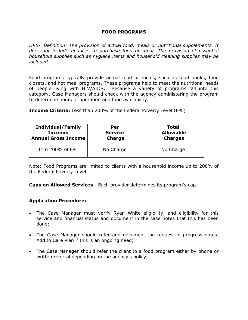## **FOOD PROGRAMS**

*HRSA Definition: The provision of actual food, meals or nutritional supplements. It does not include finances to purchase food or meal. The provision of essential household supplies such as hygiene items and household cleaning supplies may be included*.

Food programs typically provide actual food or meals, such as food banks, food closets, and hot meal programs. These programs help to meet the nutritional needs of people living with HIV/AIDS. Because a variety of programs fall into this category, Case Managers should check with the agency administering the program to determine hours of operation and food availability.

**Income Criteria:** Less than 200% of the Federal Poverty Level (FPL)

| <b>Individual/Family</b>   | Per            | Total            |
|----------------------------|----------------|------------------|
| Income:                    | <b>Service</b> | <b>Allowable</b> |
| <b>Annual Gross Income</b> | <b>Charge</b>  | <b>Charges</b>   |
| 0 to 200% of FPL           | No Charge      | No Charge        |

Note: Food Programs are limited to clients with a household income up to 200% of the Federal Poverty Level.

**Caps on Allowed Services**: Each provider determines its program's cap.

## **Application Procedure:**

- The Case Manager must verify Ryan White eligibility, and eligibility for this service and financial status and document in the case notes that this has been done;
- The Case Manager should refer and document the request in progress notes. Add to Care Plan if this is an ongoing need;
- The Case Manager should refer the client to a food program either by phone or written referral depending on the agency's policy.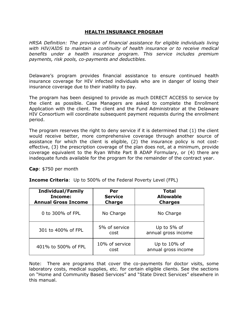#### **HEALTH INSURANCE PROGRAM**

*HRSA Definition: The provision of financial assistance for eligible individuals living with HIV/AIDS to maintain a continuity of health insurance or to receive medical benefits under a health insurance program. This service includes premium payments, risk pools, co-payments and deductibles.*

Delaware's program provides financial assistance to ensure continued health insurance coverage for HIV infected individuals who are in danger of losing their insurance coverage due to their inability to pay.

The program has been designed to provide as much DIRECT ACCESS to service by the client as possible. Case Managers are asked to complete the Enrollment Application with the client. The client and the Fund Administrator at the Delaware HIV Consortium will coordinate subsequent payment requests during the enrollment period.

The program reserves the right to deny service if it is determined that (1) the client would receive better, more comprehensive coverage through another source of assistance for which the client is eligible, (2) the insurance policy is not costeffective, (3) the prescription coverage of the plan does not, at a minimum, provide coverage equivalent to the Ryan White Part B ADAP Formulary, or (4) there are inadequate funds available for the program for the remainder of the contract year.

**Cap**: \$750 per month

| <b>Income Criteria:</b> Up to 500% of the Federal Poverty Level (FPL) |  |  |  |
|-----------------------------------------------------------------------|--|--|--|
|                                                                       |  |  |  |

| <b>Individual/Family</b><br>Income:<br><b>Annual Gross Income</b> | Per<br><b>Service</b><br><b>Charge</b> | <b>Total</b><br><b>Allowable</b><br><b>Charges</b> |
|-------------------------------------------------------------------|----------------------------------------|----------------------------------------------------|
| 0 to 300% of FPL                                                  | No Charge                              | No Charge                                          |
| 301 to 400% of FPL                                                | 5% of service<br>cost                  | Up to 5% of<br>annual gross income                 |
| 401% to 500% of FPL                                               | 10% of service<br>cost                 | Up to $10\%$ of<br>annual gross income             |

Note: There are programs that cover the co-payments for doctor visits, some laboratory costs, medical supplies, etc. for certain eligible clients. See the sections on "Home and Community Based Services" and "State Direct Services" elsewhere in this manual.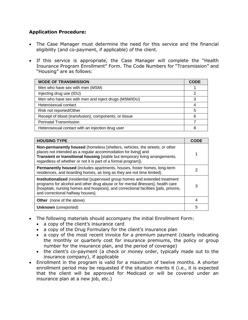# **Application Procedure:**

- The Case Manager must determine the need for this service and the financial eligibility (and co-payment, if applicable) of the client.
- If this service is appropriate, the Case Manager will complete the "Health Insurance Program Enrollment" Form. The Code Numbers for "Transmission" and "Housing" are as follows:

| <b>MODE OF TRANSMISSION</b>                           | <b>CODE</b> |
|-------------------------------------------------------|-------------|
| Men who have sex with men (MSM)                       |             |
| Injecting drug use (IDU)                              | 2           |
| Men who have sex with men and inject drugs (MSM/IDU)  | 3           |
| Heterosexual contact                                  | 4           |
| Risk not reported/Other                               | 5           |
| Receipt of blood (transfusion), components, or tissue | 6           |
| <b>Perinatal Transmission</b>                         |             |
| Heterosexual contact with an injection drug user      | 8           |

| <b>HOUSING TYPE</b>                                                                                                                                                                                                                                                                                    | <b>CODE</b> |
|--------------------------------------------------------------------------------------------------------------------------------------------------------------------------------------------------------------------------------------------------------------------------------------------------------|-------------|
| <b>Non-permanently housed</b> (homeless [shelters, vehicles, the streets, or other<br>places not intended as a regular accommodation for living] and<br>Transient or transitional housing [stable but temporary living arrangements,<br>regardless of whether or not it is part of a formal program]). |             |
| <b>Permanently housed</b> (includes apartments, houses, foster homes, long-term<br>residences, and boarding homes, as long as they are not time limited).                                                                                                                                              | 2           |
| <b>Institutionalized</b> (residential [supervised group homes and extended treatment<br>programs for alcohol and other drug abuse or for mental illnesses], health care<br>[hospitals, nursing homes and hospices], and correctional facilities [jails, prisons,<br>and correctional halfway houses].  | 3           |
| <b>Other</b> (none of the above)                                                                                                                                                                                                                                                                       | 4           |
| <b>Unknown</b> (unreported)                                                                                                                                                                                                                                                                            | 5           |

- The following materials should accompany the initial Enrollment Form:
	- a copy of the client's insurance card
	- a copy of the Drug Formulary for the client's insurance plan
	- a copy of the most recent invoice for a premium payment (clearly indicating the monthly or quarterly cost for insurance premiums, the policy or group number for the insurance plan, and the period of coverage)
	- the client's co-payment (a check or money order, typically made out to the insurance company), if applicable
- Enrollment in the program is valid for a maximum of twelve months. A shorter enrollment period may be requested if the situation merits it (i.e., it is expected that the client will be approved for Medicaid or will be covered under an insurance plan at a new job, etc.)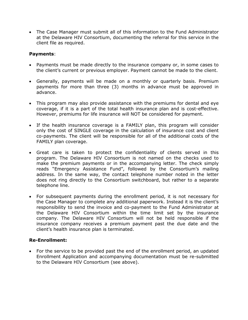The Case Manager must submit all of this information to the Fund Administrator at the Delaware HIV Consortium, documenting the referral for this service in the client file as required.

#### **Payments**:

- Payments must be made directly to the insurance company or, in some cases to the client's current or previous employer. Payment cannot be made to the client.
- Generally, payments will be made on a monthly or quarterly basis. Premium payments for more than three (3) months in advance must be approved in advance.
- This program may also provide assistance with the premiums for dental and eye coverage, if it is a part of the total health insurance plan and is cost-effective. However, premiums for life insurance will NOT be considered for payment.
- If the health insurance coverage is a FAMILY plan, this program will consider only the cost of SINGLE coverage in the calculation of insurance cost and client co-payments. The client will be responsible for all of the additional costs of the FAMILY plan coverage.
- Great care is taken to protect the confidentiality of clients served in this program. The Delaware HIV Consortium is not named on the checks used to make the premium payments or in the accompanying letter. The check simply reads "Emergency Assistance Fund", followed by the Consortium's mailing address. In the same way, the contact telephone number noted in the letter does not ring directly to the Consortium switchboard, but rather to a separate telephone line.
- For subsequent payments during the enrollment period, it is not necessary for the Case Manager to complete any additional paperwork. Instead it is the client's responsibility to send the invoice and co-payment to the Fund Administrator at the Delaware HIV Consortium within the time limit set by the insurance company. The Delaware HIV Consortium will not be held responsible if the insurance company receives a premium payment past the due date and the client's health insurance plan is terminated.

## **Re-Enrollment:**

• For the service to be provided past the end of the enrollment period, an updated Enrollment Application and accompanying documentation must be re-submitted to the Delaware HIV Consortium (see above).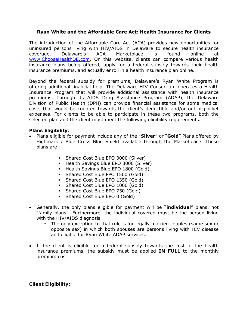#### **Ryan White and the Affordable Care Act: Health Insurance for Clients**

The introduction of the Affordable Care Act (ACA) provides new opportunities for uninsured persons living with HIV/AIDS in Delaware to secure health insurance coverage. Delaware's ACA Marketplace is found online at [www.ChooseHealthDE.com.](http://www.choosehealthde.com/) On this website, clients can compare various health insurance plans being offered, apply for a federal subsidy towards their health insurance premiums, and actually enroll in a health insurance plan online.

Beyond the federal subsidy for premiums, Delaware's Ryan White Program is offering additional financial help. The Delaware HIV Consortium operates a Health Insurance Program that will provide additional assistance with health insurance premiums. Through its AIDS Drug Assistance Program (ADAP), the Delaware Division of Public Health (DPH) can provide financial assistance for some medical costs that would be counted towards the client's deductible and/or out-of-pocket expenses. For clients to be able to participate in these two programs, both the selected plan and the client must meet the following eligibility requirements.

#### **Plans Eligibility**:

- Plans eligible for payment include any of the "**Silver**" or "**Gold**" Plans offered by Highmark / Blue Cross Blue Shield available through the Marketplace. These plans are:
	- Shared Cost Blue EPO 3000 (Silver)
	- **Health Savings Blue EPO 3000 (Silver)**
	- **Health Savings Blue EPO 1800 (Gold)**
	- Shared Cost Blue PPO 1500 (Gold)
	- Shared Cost Blue EPO 1350 (Gold)
	- Shared Cost Blue EPO 1000 (Gold)
	- Shared Cost Blue EPO 750 (Gold)
	- Shared Cost Blue EPO 0 (Gold)
- Generally, the only plans eligible for payment will be "**individual**" plans, not "family plans". Furthermore, the individual covered must be the person living with the HIV/AIDS diagnosis.
	- $\circ$  The only exception to that rule is for legally married couples (same sex or opposite sex) in which both spouses are persons living with HIV disease and eligible for Ryan White ADAP services.
- If the client is eligible for a federal subsidy towards the cost of the health insurance premiums, the subsidy must be applied **IN FULL** to the monthly premium cost.

## **Client Eligibility**: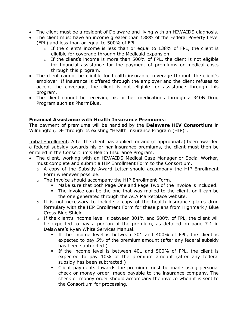- The client must be a resident of Delaware and living with an HIV/AIDS diagnosis.
- The client must have an income greater than 138% of the Federal Poverty Level (FPL) and less than or equal to 500% of FPL.
	- $\circ$  If the client's income is less than or equal to 138% of FPL, the client is eligible for coverage through the Medicaid expansion.
	- $\circ$  If the client's income is more than 500% of FPL, the client is not eligible for financial assistance for the payment of premiums or medical costs through this program.
- The client cannot be eligible for health insurance coverage through the client's employer. If insurance is offered through the employer and the client refuses to accept the coverage, the client is not eligible for assistance through this program.
- The client cannot be receiving his or her medications through a 340B Drug Program such as PharmBlue.

# **Financial Assistance with Health Insurance Premiums**:

The payment of premiums will be handled by the **Delaware HIV Consortium** in Wilmington, DE through its existing "Health Insurance Program (HIP)".

Initial Enrollment: After the client has applied for and (if appropriate) been awarded a federal subsidy towards his or her insurance premiums, the client must then be enrolled in the Consortium's Health Insurance Program.

- The client, working with an HIV/AIDS Medical Case Manager or Social Worker, must complete and submit a HIP Enrollment Form to the Consortium.
	- o A copy of the Subsidy Award Letter should accompany the HIP Enrollment Form whenever possible.
	- o The Invoice should accompany the HIP Enrollment Form.
		- Make sure that both Page One and Page Two of the invoice is included.
		- The invoice can be the one that was mailed to the client, or it can be the one generated through the ACA Marketplace website.
	- $\circ$  It is not necessary to include a copy of the health insurance plan's drug formulary with the HIP Enrollment Form for these plans from Highmark / Blue Cross Blue Shield.
	- o If the client's income level is between 301% and 500% of FPL, the client will be expected to pay a portion of the premium, as detailed on page 7.1 in Delaware's Ryan White Services Manual.
		- If the income level is between 301 and 400% of FPL, the client is expected to pay 5% of the premium amount (after any federal subsidy has been subtracted.)
		- If the income level is between 401 and 500% of FPL, the client is expected to pay 10% of the premium amount (after any federal subsidy has been subtracted.)
		- Client payments towards the premium must be made using personal check or money order, made payable to the insurance company. The check or money order should accompany the invoice when it is sent to the Consortium for processing.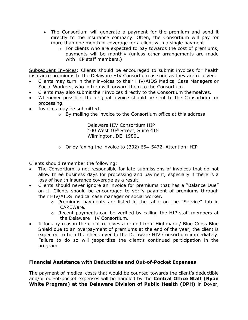- The Consortium will generate a payment for the premium and send it directly to the insurance company. Often, the Consortium will pay for more than one month of coverage for a client with a single payment.
	- $\circ$  For clients who are expected to pay towards the cost of premiums, payments will be monthly (unless other arrangements are made with HIP staff members.)

Subsequent Invoices: Clients should be encouraged to submit invoices for health insurance premiums to the Delaware HIV Consortium as soon as they are received.

- Clients may turn in their invoices to their HIV/AIDS Medical Case Managers or Social Workers, who in turn will forward them to the Consortium.
- Clients may also submit their invoices directly to the Consortium themselves.
- Whenever possible, the original invoice should be sent to the Consortium for processing.
- Invoices may be submitted:
	- o By mailing the invoice to the Consortium office at this address:

Delaware HIV Consortium HIP 100 West 10<sup>th</sup> Street, Suite 415 Wilmington, DE 19801

 $\circ$  Or by faxing the invoice to (302) 654-5472, Attention: HIP

Clients should remember the following:

- The Consortium is not responsible for late submissions of invoices that do not allow three business days for processing and payment, especially if there is a loss of health insurance coverage as a result.
- Clients should never ignore an invoice for premiums that has a "Balance Due" on it. Clients should be encouraged to verify payment of premiums through their HIV/AIDS medical case manager or social worker.
	- $\circ$  Premiums payments are listed in the table on the "Service" tab in CAREWare.
	- o Recent payments can be verified by calling the HIP staff members at the Delaware HIV Consortium.
- If for any reason the client receives a refund from Highmark / Blue Cross Blue Shield due to an overpayment of premiums at the end of the year, the client is expected to turn the check over to the Delaware HIV Consortium immediately. Failure to do so will jeopardize the client's continued participation in the program.

## **Financial Assistance with Deductibles and Out-of-Pocket Expenses**:

The payment of medical costs that would be counted towards the client's deductible and/or out-of-pocket expenses will be handled by the **Central Office Staff (Ryan White Program) at the Delaware Division of Public Health (DPH)** in Dover,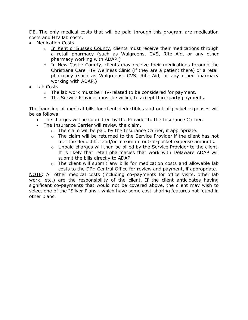DE. The only medical costs that will be paid through this program are medication costs and HIV lab costs.

- Medication Costs
	- o In Kent or Sussex County, clients must receive their medications through a retail pharmacy (such as Walgreens, CVS, Rite Aid, or any other pharmacy working with ADAP.)
	- o In New Castle County, clients may receive their medications through the Christiana Care HIV Wellness Clinic (if they are a patient there) or a retail pharmacy (such as Walgreens, CVS, Rite Aid, or any other pharmacy working with ADAP.)
- Lab Costs
	- $\circ$  The lab work must be HIV-related to be considered for payment.
	- o The Service Provider must be willing to accept third-party payments.

The handling of medical bills for client deductibles and out-of-pocket expenses will be as follows:

- The charges will be submitted by the Provider to the Insurance Carrier.
- The Insurance Carrier will review the claim.
	- $\circ$  The claim will be paid by the Insurance Carrier, if appropriate.
	- $\circ$  The claim will be returned to the Service Provider if the client has not met the deductible and/or maximum out-of-pocket expense amounts.
	- o Unpaid charges will then be billed by the Service Provider to the client. It is likely that retail pharmacies that work with Delaware ADAP will submit the bills directly to ADAP.
	- $\circ$  The client will submit any bills for medication costs and allowable lab costs to the DPH Central Office for review and payment, if appropriate.

NOTE: All other medical costs (including co-payments for office visits, other lab work, etc.) are the responsibility of the client. If the client anticipates having significant co-payments that would not be covered above, the client may wish to select one of the "Silver Plans", which have some cost-sharing features not found in other plans.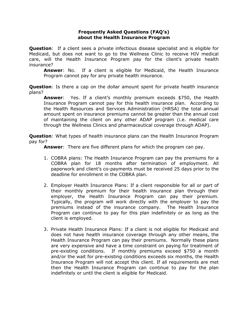#### **Frequently Asked Questions (FAQ's) about the Health Insurance Program**

**Question**: If a client sees a private infectious disease specialist and is eligible for Medicaid, but does not want to go to the Wellness Clinic to receive HIV medical care, will the Health Insurance Program pay for the client's private health insurance?

**Answer**: No. If a client is eligible for Medicaid, the Health Insurance Program cannot pay for any private health insurance.

**Question**: Is there a cap on the dollar amount spent for private health insurance plans?

**Answer**: Yes. If a client's monthly premium exceeds \$750, the Health Insurance Program cannot pay for this health insurance plan. According to the Health Resources and Services Administration (HRSA) the total annual amount spent on insurance premiums cannot be greater than the annual cost of maintaining the client on any other ADAP program (i.e. medical care through the Wellness Clinics and pharmaceutical coverage through ADAP).

**Question:** What types of health insurance plans can the Health Insurance Program pay for?

**Answer**: There are five different plans for which the program can pay.

- 1. COBRA plans: The Health Insurance Program can pay the premiums for a COBRA plan for 18 months after termination of employment. All paperwork and client's co-payments must be received 25 days prior to the deadline for enrollment in the COBRA plan.
- 2. Employer Health Insurance Plans: If a client responsible for all or part of their monthly premium for their health insurance plan through their employer, the Health Insurance Program can pay their premium. Typically, the program will work directly with the employer to pay the premiums instead of the insurance company. The Health Insurance Program can continue to pay for this plan indefinitely or as long as the client is employed.
- 3. Private Health Insurance Plans: If a client is not eligible for Medicaid and does not have health insurance coverage through any other means, the Health Insurance Program can pay their premiums. Normally these plans are very expensive and have a time constraint on paying for treatment of pre-existing conditions. If monthly premiums exceed \$750 a month and/or the wait for pre-existing conditions exceeds six months, the Health Insurance Program will not accept this client. If all requirements are met then the Health Insurance Program can continue to pay for the plan indefinitely or until the client is eligible for Medicaid.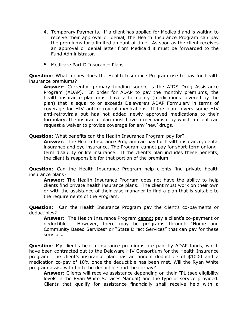- 4. Temporary Payments. If a client has applied for Medicaid and is waiting to receive their approval or denial, the Health Insurance Program can pay the premiums for a limited amount of time. As soon as the client receives an approval or denial letter from Medicaid it must be forwarded to the Fund Administrator.
- 5. Medicare Part D Insurance Plans.

**Question**: What money does the Health Insurance Program use to pay for health insurance premiums?

**Answer**: Currently, primary funding source is the AIDS Drug Assistance Program (ADAP). In order for ADAP to pay the monthly premiums, the health insurance plan must have a formulary (medications covered by the plan) that is equal to or exceeds Delaware's ADAP Formulary in terms of coverage for HIV anti-retroviral medications. If the plan covers some HIV anti-retrovirals but has not added newly approved medications to their formulary, the insurance plan must have a mechanism by which a client can request a waiver to provide coverage for any 'new' drugs.

**Question**: What benefits can the Health Insurance Program pay for?

**Answer**: The Health Insurance Program can pay for health insurance, dental insurance and eye insurance. The Program cannot pay for short-term or longterm disability or life insurance. If the client's plan includes these benefits, the client is responsible for that portion of the premium.

**Question:** Can the Health Insurance Program help clients find private health insurance plans?

**Answer**: The Health Insurance Program does not have the ability to help clients find private health insurance plans. The client must work on their own or with the assistance of their case manager to find a plan that is suitable to the requirements of the Program.

**Question**: Can the Health Insurance Program pay the client's co-payments or deductibles?

**Answer**: The Health Insurance Program cannot pay a client's co-payment or deductible. However, there may be programs through "Home and Community Based Services" or "State Direct Services" that can pay for these services.

**Question**: My client's health insurance premiums are paid by ADAP funds, which have been contracted out to the Delaware HIV Consortium for the Health Insurance program. The client's insurance plan has an annual deductible of \$1000 and a medication co-pay of 10% once the deductible has been met. Will the Ryan White program assist with both the deductible and the co-pay?

**Answer**: Clients will receive assistance depending on their FPL (see eligibility levels in the Ryan White Services Manual) and the type of service provided. Clients that qualify for assistance financially shall receive help with a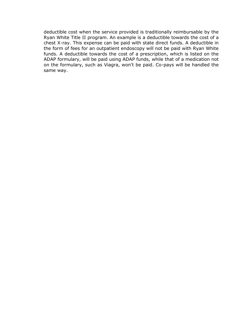deductible cost when the service provided is traditionally reimbursable by the Ryan White Title II program. An example is a deductible towards the cost of a chest X-ray. This expense can be paid with state direct funds. A deductible in the form of fees for an outpatient endoscopy will not be paid with Ryan White funds. A deductible towards the cost of a prescription, which is listed on the ADAP formulary, will be paid using ADAP funds, while that of a medication not on the formulary, such as Viagra, won't be paid. Co-pays will be handled the same way.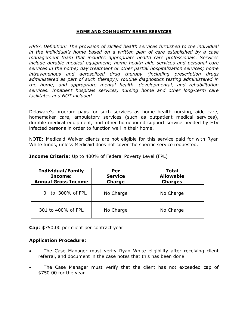#### **HOME AND COMMUNITY BASED SERVICES**

*HRSA Definition: The provision of skilled health services furnished to the individual in the individual's home based on a written plan of care established by a case management team that includes appropriate health care professionals. Services include durable medical equipment; home health aide services and personal care services in the home; day treatment or other partial hospitalization services; home intravenenous and aerosolized drug therapy (including prescription drugs administered as part of such therapy); routine diagnostics testing administered in the home; and appropriate mental health, developmental, and rehabilitation services. Inpatient hospitals services, nursing home and other long-term care facilitates and NOT included*.

Delaware's program pays for such services as home health nursing, aide care, homemaker care, ambulatory services (such as outpatient medical services), durable medical equipment, and other homebound support service needed by HIV infected persons in order to function well in their home.

NOTE: Medicaid Waiver clients are not eligible for this service paid for with Ryan White funds, unless Medicaid does not cover the specific service requested.

| <b>Individual/Family</b><br>Income:<br><b>Annual Gross Income</b> | Per<br><b>Service</b><br><b>Charge</b> | <b>Total</b><br><b>Allowable</b><br><b>Charges</b> |
|-------------------------------------------------------------------|----------------------------------------|----------------------------------------------------|
| to 300% of FPL<br>0                                               | No Charge                              | No Charge                                          |
| 301 to 400% of FPL                                                | No Charge                              | No Charge                                          |

**Income Criteria**: Up to 400% of Federal Poverty Level (FPL)

**Cap**: \$750.00 per client per contract year

#### **Application Procedure:**

- The Case Manager must verify Ryan White eligibility after receiving client referral, and document in the case notes that this has been done.
- The Case Manager must verify that the client has not exceeded cap of \$750.00 for the year.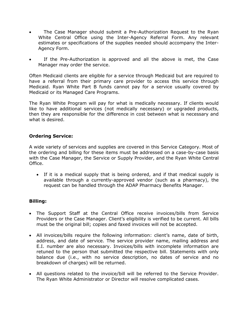- The Case Manager should submit a Pre-Authorization Request to the Ryan White Central Office using the Inter-Agency Referral Form. Any relevant estimates or specifications of the supplies needed should accompany the Inter-Agency Form.
- If the Pre-Authorization is approved and all the above is met, the Case Manager may order the service.

Often Medicaid clients are eligible for a service through Medicaid but are required to have a referral from their primary care provider to access this service through Medicaid. Ryan White Part B funds cannot pay for a service usually covered by Medicaid or its Managed Care Programs.

The Ryan White Program will pay for what is medically necessary. If clients would like to have additional services (not medically necessary) or upgraded products, then they are responsible for the difference in cost between what is necessary and what is desired.

## **Ordering Service:**

A wide variety of services and supplies are covered in this Service Category. Most of the ordering and billing for these items must be addressed on a case-by-case basis with the Case Manager, the Service or Supply Provider, and the Ryan White Central Office.

 If it is a medical supply that is being ordered, and if that medical supply is available through a currently-approved vendor (such as a pharmacy), the request can be handled through the ADAP Pharmacy Benefits Manager.

## **Billing:**

- The Support Staff at the Central Office receive invoices/bills from Service Providers or the Case Manager. Client's eligibility is verified to be current. All bills must be the original bill; copies and faxed invoices will not be accepted.
- All invoices/bills require the following information: client's name, date of birth, address, and date of service. The service provider name, mailing address and E.I. number are also necessary. Invoices/bills with incomplete information are retuned to the person that submitted the respective bill. Statements with only balance due (i.e., with no service description, no dates of service and no breakdown of charges) will be returned.
- All questions related to the invoice/bill will be referred to the Service Provider. The Ryan White Administrator or Director will resolve complicated cases.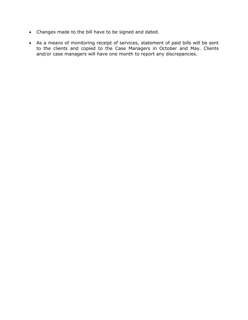- Changes made to the bill have to be signed and dated.
- As a means of monitoring receipt of services, statement of paid bills will be sent to the clients and copied to the Case Managers in October and May. Clients and/or case managers will have one month to report any discrepancies.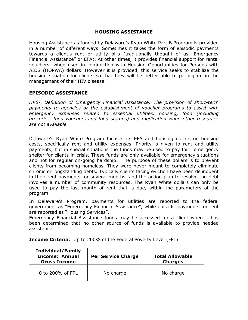#### **HOUSING ASSISTANCE**

Housing Assistance as funded by Delaware's Ryan White Part B Program is provided in a number of different ways. Sometimes it takes the form of episodic payments towards a client's rent or utility bills (traditionally thought of as "Emergency Financial Assistance" or EFA). At other times, it provides financial support for rental vouchers, when used in conjunction with Housing Opportunities for Persons with AIDS (HOPWA) dollars. However it is provided, this service seeks to stabilize the housing situation for clients so that they will be better able to participate in the management of their HIV disease.

#### **EPISODIC ASSISTANCE**

*HRSA Definition of Emergency Financial Assistance: The provision of short-term payments to agencies or the establishment of voucher programs to assist with emergency expenses related to essential utilities, housing, food (including groceries, food vouchers and food stamps) and medication when other resources are not available.*

Delaware's Ryan White Program focuses its EFA and housing dollars on housing costs, specifically rent and utility expenses. Priority is given to rent and utility payments, but in special situations the funds may be used to pay for emergency shelter for clients in crisis. These funds are only available for emergency situations and not for regular on-going hardship. The purpose of these dollars is to prevent clients from becoming homeless. They were never meant to completely eliminate chronic or longstanding debts. Typically clients facing eviction have been delinquent in their rent payments for several months, and the action plan to resolve the debt involves a number of community resources. The Ryan White dollars can only be used to pay the last month of rent that is due, within the parameters of the program.

In Delaware's Program, payments for utilities are reported to the federal government as "Emergency Financial Assistance", while episodic payments for rent are reported as "Housing Services".

Emergency Financial Assistance funds may be accessed for a client when it has been determined that no other source of funds is available to provide needed assistance.

**Income Criteria**: Up to 200% of the Federal Poverty Level (FPL)

| <b>Individual/Family</b><br><b>Income: Annual</b><br><b>Gross Income</b> | <b>Per Service Charge</b> | <b>Total Allowable</b><br><b>Charges</b> |
|--------------------------------------------------------------------------|---------------------------|------------------------------------------|
| 0 to 200% of FPL                                                         | No charge                 | No charge                                |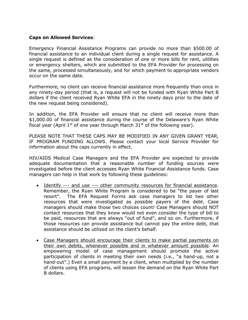#### **Caps on Allowed Services**:

Emergency Financial Assistance Programs can provide no more than \$500.00 of financial assistance to an individual client during a single request for assistance. A single request is defined as the consideration of one or more bills for rent, utilities or emergency shelters, which are submitted to the EFA Provider for processing on the same, processed simultaneously, and for which payment to appropriate vendors occur on the same date.

Furthermore, no client can receive financial assistance more frequently than once in any ninety-day period (that is, a request will not be funded with Ryan White Part B dollars if the client received Ryan White EFA in the ninety days prior to the date of the new request being considered).

In addition, the EFA Provider will ensure that no client will receive more than \$1,000.00 of financial assistance during the course of the Delaware's Ryan White fiscal year (April 1<sup>st</sup> of one year through March  $31<sup>st</sup>$  of the following year).

PLEASE NOTE THAT THESE CAPS MAY BE MODIFIED IN ANY GIVEN GRANT YEAR, IF PROGRAM FUNDING ALLOWS. Please contact your local Service Provider for information about the caps currently in effect.

HIV/AIDS Medical Case Managers and the EFA Provider are expected to provide adequate documentation that a reasonable number of funding sources were investigated before the client accesses Ryan White Financial Assistance funds. Case managers can help in that work by following these guidelines:

- Identify --- and use --- other community resources for financial assistance. Remember, the Ryan White Program is considered to be "the payer of last resort". The EFA Request Forms ask case managers to list two other resources that were investigated as possible payers of the debt. Case managers should make those two choices count! Case Managers should NOT contact resources that they know would not even consider the type of bill to be paid, resources that are always "out of fund", and so on. Furthermore, if those resources can provide assistance but cannot pay the entire debt, that assistance should be utilized on the client's behalf.
- Case Managers should encourage their clients to make partial payments on their own debits, whenever possible and in whatever amount possible. An empowering model of case management should promote the active participation of clients in meeting their own needs (i.e., "a hand-up, not a hand-out".) Even a small payment by a client, when multiplied by the number of clients using EFA programs, will lessen the demand on the Ryan White Part B dollars.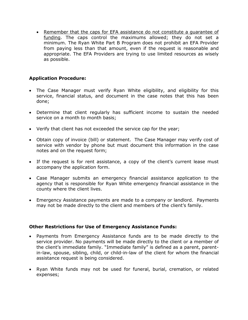• Remember that the caps for EFA assistance do not constitute a quarantee of funding. The caps control the maximums allowed; they do not set a minimum. The Ryan White Part B Program does not prohibit an EFA Provider from paying less than that amount, even if the request is reasonable and appropriate. The EFA Providers are trying to use limited resources as wisely as possible.

# **Application Procedure:**

- The Case Manager must verify Ryan White eligibility, and eligibility for this service, financial status, and document in the case notes that this has been done;
- Determine that client regularly has sufficient income to sustain the needed service on a month to month basis;
- Verify that client has not exceeded the service cap for the year;
- Obtain copy of invoice (bill) or statement. The Case Manager may verify cost of service with vendor by phone but must document this information in the case notes and on the request form;
- If the request is for rent assistance, a copy of the client's current lease must accompany the application form.
- Case Manager submits an emergency financial assistance application to the agency that is responsible for Ryan White emergency financial assistance in the county where the client lives.
- Emergency Assistance payments are made to a company or landlord. Payments may not be made directly to the client and members of the client's family.

## **Other Restrictions for Use of Emergency Assistance Funds:**

- Payments from Emergency Assistance funds are to be made directly to the service provider. No payments will be made directly to the client or a member of the client's immediate family. "Immediate family" is defined as a parent, parentin-law, spouse, sibling, child, or child-in-law of the client for whom the financial assistance request is being considered.
- Ryan White funds may not be used for funeral, burial, cremation, or related expenses;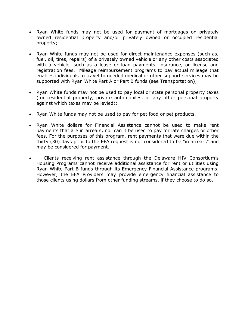- Ryan White funds may not be used for payment of mortgages on privately owned residential property and/or privately owned or occupied residential property;
- Ryan White funds may not be used for direct maintenance expenses (such as, fuel, oil, tires, repairs) of a privately owned vehicle or any other costs associated with a vehicle, such as a lease or loan payments, insurance, or license and registration fees. Mileage reimbursement programs to pay actual mileage that enables individuals to travel to needed medical or other support services may be supported with Ryan White Part A or Part B funds (see Transportation);
- Ryan White funds may not be used to pay local or state personal property taxes (for residential property, private automobiles, or any other personal property against which taxes may be levied);
- Ryan White funds may not be used to pay for pet food or pet products.
- Ryan White dollars for Financial Assistance cannot be used to make rent payments that are in arrears, nor can it be used to pay for late charges or other fees. For the purposes of this program, rent payments that were due within the thirty (30) days prior to the EFA request is not considered to be "in arrears" and may be considered for payment.
- Clients receiving rent assistance through the Delaware HIV Consortium's Housing Programs cannot receive additional assistance for rent or utilities using Ryan White Part B funds through its Emergency Financial Assistance programs. However, the EFA Providers may provide emergency financial assistance to those clients using dollars from other funding streams, if they choose to do so.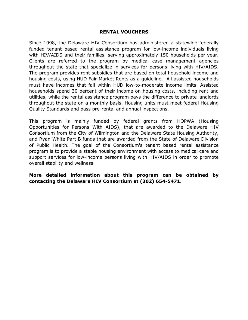## **RENTAL VOUCHERS**

Since 1998, the Delaware HIV Consortium has administered a statewide federally funded tenant based rental assistance program for low-income individuals living with HIV/AIDS and their families, serving approximately 150 households per year. Clients are referred to the program by medical case management agencies throughout the state that specialize in services for persons living with HIV/AIDS. The program provides rent subsidies that are based on total household income and housing costs, using HUD Fair Market Rents as a guideline. All assisted households must have incomes that fall within HUD low-to-moderate income limits. Assisted households spend 30 percent of their income on housing costs, including rent and utilities, while the rental assistance program pays the difference to private landlords throughout the state on a monthly basis. Housing units must meet federal Housing Quality Standards and pass pre-rental and annual inspections.

This program is mainly funded by federal grants from HOPWA (Housing Opportunities for Persons With AIDS), that are awarded to the Delaware HIV Consortium from the City of Wilmington and the Delaware State Housing Authority, and Ryan White Part B funds that are awarded from the State of Delaware Division of Public Health. The goal of the Consortium's tenant based rental assistance program is to provide a stable housing environment with access to medical care and support services for low-income persons living with HIV/AIDS in order to promote overall stability and wellness.

**More detailed information about this program can be obtained by contacting the Delaware HIV Consortium at (302) 654-5471.**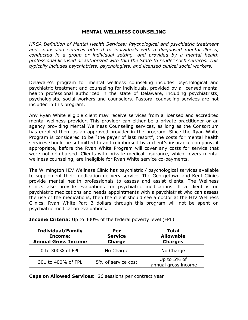## **MENTAL WELLNESS COUNSELING**

*HRSA Definition of Mental Health Services: Psychological and psychiatric treatment and counseling services offered to individuals with a diagnosed mental illness, conducted in a group or individual setting, and provided by a mental health professional licensed or authorized with thin the State to render such services. This typically includes psychiatrists, psychologists, and licensed clinical social workers.*

Delaware's program for mental wellness counseling includes psychological and psychiatric treatment and counseling for individuals, provided by a licensed mental health professional authorized in the state of Delaware, including psychiatrists, psychologists, social workers and counselors. Pastoral counseling services are not included in this program.

Any Ryan White eligible client may receive services from a licensed and accredited mental wellness provider. This provider can either be a private practitioner or an agency providing Mental Wellness Counseling services, as long as the Consortium has enrolled them as an approved provider in the program. Since the Ryan White Program is considered to be "the payer of last resort", the costs for mental health services should be submitted to and reimbursed by a client's insurance company, if appropriate, before the Ryan White Program will cover any costs for service that were not reimbursed. Clients with private medical insurance, which covers mental wellness counseling, are ineligible for Ryan White service co-payments.

The Wilmington HIV Wellness Clinic has psychiatric / psychological services available to supplement their medication delivery service. The Georgetown and Kent Clinics provide mental health professionals to assess and assist clients. The Wellness Clinics also provide evaluations for psychiatric medications. If a client is on psychiatric medications and needs appointments with a psychiatrist who can assess the use of the medications, then the client should see a doctor at the HIV Wellness Clinics. Ryan White Part B dollars through this program will not be spent on psychiatric medication evaluations.

| <b>Individual/Family</b><br>Income:<br><b>Annual Gross Income</b> | Per<br><b>Service</b><br>Charge | Total<br><b>Allowable</b><br><b>Charges</b> |
|-------------------------------------------------------------------|---------------------------------|---------------------------------------------|
| 0 to 300% of FPL                                                  | No Charge                       | No Charge                                   |
| 301 to 400% of FPL                                                | 5% of service cost              | Up to 5% of<br>annual gross income          |

**Income Criteria**: Up to 400% of the federal poverty level (FPL).

**Caps on Allowed Services:** 26 sessions per contract year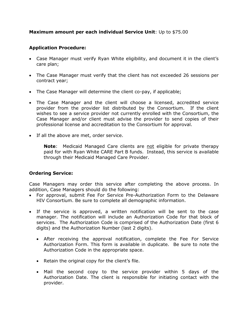# **Maximum amount per each individual Service Unit**: Up to \$75.00

# **Application Procedure:**

- Case Manager must verify Ryan White eligibility, and document it in the client's care plan;
- The Case Manager must verify that the client has not exceeded 26 sessions per contract year;
- The Case Manager will determine the client co-pay, if applicable;
- The Case Manager and the client will choose a licensed, accredited service provider from the provider list distributed by the Consortium. If the client wishes to see a service provider not currently enrolled with the Consortium, the Case Manager and/or client must advise the provider to send copies of their professional license and accreditation to the Consortium for approval.
- If all the above are met, order service.

**Note**: Medicaid Managed Care clients are not eligible for private therapy paid for with Ryan White CARE Part B funds. Instead, this service is available through their Medicaid Managed Care Provider.

# **Ordering Service:**

Case Managers may order this service after completing the above process. In addition, Case Managers should do the following:

- For approval, submit Fee For Service Pre-Authorization Form to the Delaware HIV Consortium. Be sure to complete all demographic information.
- If the service is approved, a written notification will be sent to the case manager. The notification will include an Authorization Code for that block of services. The Authorization Code is comprised of the Authorization Date (first 6 digits) and the Authorization Number (last 2 digits).
	- After receiving the approval notification, complete the Fee For Service Authorization Form. This form is available in duplicate. Be sure to note the Authorization Code in the appropriate space.
	- Retain the original copy for the client's file.
	- Mail the second copy to the service provider within 5 days of the Authorization Date. The client is responsible for initiating contact with the provider.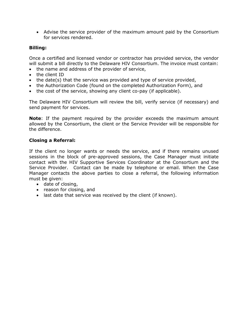Advise the service provider of the maximum amount paid by the Consortium for services rendered.

# **Billing:**

Once a certified and licensed vendor or contractor has provided service, the vendor will submit a bill directly to the Delaware HIV Consortium. The invoice must contain:

- the name and address of the provider of service,
- the client ID
- the date(s) that the service was provided and type of service provided,
- the Authorization Code (found on the completed Authorization Form), and
- the cost of the service, showing any client co-pay (if applicable).

The Delaware HIV Consortium will review the bill, verify service (if necessary) and send payment for services.

**Note**: If the payment required by the provider exceeds the maximum amount allowed by the Consortium, the client or the Service Provider will be responsible for the difference.

# **Closing a Referral:**

If the client no longer wants or needs the service, and if there remains unused sessions in the block of pre-approved sessions, the Case Manager must initiate contact with the HIV Supportive Services Coordinator at the Consortium and the Service Provider. Contact can be made by telephone or email. When the Case Manager contacts the above parties to close a referral, the following information must be given:

- date of closing,
- reason for closing, and
- last date that service was received by the client (if known).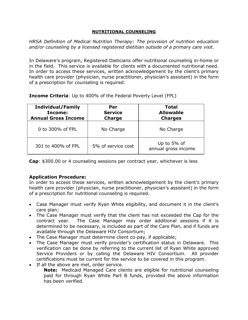## **NUTRITIONAL COUNSELING**

*HRSA Definition of Medical Nutrition Therapy: The provision of nutrition education and/or counseling by a licensed registered dietitian outside of a primary care visit.* 

In Delaware's program, Registered Dieticians offer nutritional counseling in-home or in the field. This service is available for clients with a documented nutritional need. In order to access these services, written acknowledgement by the client's primary health care provider (physician, nurse practitioner, physician's assistant) in the form of a prescription for counseling is required.

| <b>Individual/Family</b><br>Income:<br><b>Annual Gross Income</b> | Per<br><b>Service</b><br><b>Charge</b> | Total<br><b>Allowable</b><br><b>Charges</b> |
|-------------------------------------------------------------------|----------------------------------------|---------------------------------------------|
| 0 to 300% of FPL                                                  | No Charge                              | No Charge                                   |
| 301 to 400% of FPL                                                | 5% of service cost                     | Up to 5% of<br>annual gross income          |

**Income Criteria**: Up to 400% of the Federal Poverty Level (FPL)

**Cap**: \$300.00 or 4 counseling sessions per contract year, whichever is less

# **Application Procedure:**

In order to access these services, written acknowledgement by the client's primary health care provider (physician, nurse practitioner, physician's assistant) in the form of a prescription for nutritional counseling is required.

- Case Manager must verify Ryan White eligibility, and document it in the client's care plan;
- The Case Manager must verify that the client has not exceeded the Cap for the contract year. The Case Manager may order additional sessions if it is determined to be necessary, is included as part of the Care Plan, and if funds are available through the Delaware HIV Consortium;
- The Case Manager must determine client co-pay, if applicable;
- The Case Manager must verify provider's certification status in Delaware. This verification can be done by referring to the current list of Ryan White approved Service Providers or by calling the Delaware HIV Consortium. All provider certifications must be current for the service to be covered in this program.
- If all the above are met, order service.

**Note:** Medicaid Managed Care clients are eligible for nutritional counseling paid for through Ryan White Part B funds, provided the above information has been verified.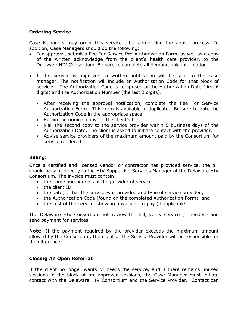# **Ordering Service:**

Case Managers may order this service after completing the above process. In addition, Case Managers should do the following:

- For approval, submit a Fee For Service Pre-Authorization Form, as well as a copy of the written acknowledge from the client's health care provider, to the Delaware HIV Consortium. Be sure to complete all demographic information.
- If the service is approved, a written notification will be sent to the case manager. The notification will include an Authorization Code for that block of services. The Authorization Code is comprised of the Authorization Date (first 6 digits) and the Authorization Number (the last 2 digits).
	- After receiving the approval notification, complete the Fee For Service Authorization Form. This form is available in duplicate. Be sure to note the Authorization Code in the appropriate space.
	- Retain the original copy for the client's file.
	- Mail the second copy to the service provider within 5 business days of the Authorization Date. The client is asked to initiate contact with the provider.
	- Advise service providers of the maximum amount paid by the Consortium for service rendered.

## **Billing:**

Once a certified and licensed vendor or contractor has provided service, the bill should be sent directly to the HIV Supportive Services Manager at the Delaware HIV Consortium. The invoice must contain:

- the name and address of the provider of service,
- the client ID
- the date(s) that the service was provided and type of service provided,
- the Authorization Code (found on the completed Authorization Form), and
- the cost of the service, showing any client co-pay (if applicable) .

The Delaware HIV Consortium will review the bill, verify service (if needed) and send payment for services.

**Note**: If the payment required by the provider exceeds the maximum amount allowed by the Consortium, the client or the Service Provider will be responsible for the difference.

# **Closing An Open Referral:**

If the client no longer wants or needs the service, and if there remains unused sessions in the block of pre-approved sessions, the Case Manager must initiate contact with the Delaware HIV Consortium and the Service Provider. Contact can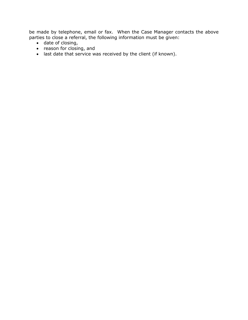be made by telephone, email or fax. When the Case Manager contacts the above parties to close a referral, the following information must be given:

- date of closing,
- reason for closing, and
- last date that service was received by the client (if known).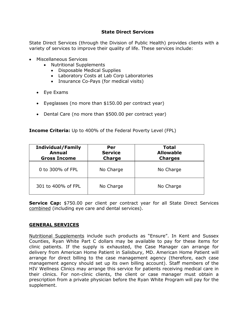# **State Direct Services**

State Direct Services (through the Division of Public Health) provides clients with a variety of services to improve their quality of life. These services include:

- Miscellaneous Services
	- Nutritional Supplements
		- Disposable Medical Supplies
		- Laboratory Costs at Lab Corp Laboratories
		- Insurance Co-Pays (for medical visits)
	- Eye Exams
	- Eyeglasses (no more than \$150.00 per contract year)
	- Dental Care (no more than \$500.00 per contract year)

# **Income Criteria:** Up to 400% of the Federal Poverty Level (FPL)

| <b>Individual/Family</b><br><b>Annual</b><br><b>Gross Income</b> | Per<br><b>Service</b><br><b>Charge</b> | <b>Total</b><br><b>Allowable</b><br><b>Charges</b> |
|------------------------------------------------------------------|----------------------------------------|----------------------------------------------------|
| 0 to 300% of FPL                                                 | No Charge                              | No Charge                                          |
| 301 to 400% of FPL                                               | No Charge                              | No Charge                                          |

**Service Cap:** \$750.00 per client per contract year for all State Direct Services combined (including eye care and dental services).

# **GENERAL SERVICES**

Nutritional Supplements include such products as "Ensure". In Kent and Sussex Counties, Ryan White Part C dollars may be available to pay for these items for clinic patients. If the supply is exhausted, the Case Manager can arrange for delivery from American Home Patient in Salisbury, MD. American Home Patient will arrange for direct billing to the case management agency (therefore, each case management agency should set up its own billing account). Staff members of the HIV Wellness Clinics may arrange this service for patients receiving medical care in their clinics. For non-clinic clients, the client or case manager must obtain a prescription from a private physician before the Ryan White Program will pay for the supplement.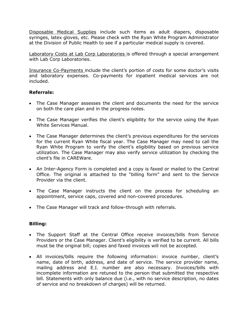Disposable Medical Supplies include such items as adult diapers, disposable syringes, latex gloves, etc. Please check with the Ryan White Program Administrator at the Division of Public Health to see if a particular medical supply is covered.

Laboratory Costs at Lab Corp Laboratories is offered through a special arrangement with Lab Corp Laboratories.

Insurance Co-Payments include the client's portion of costs for some doctor's visits and laboratory expenses. Co-payments for inpatient medical services are not included.

# **Referrals:**

- The Case Manager assesses the client and documents the need for the service on both the care plan and in the progress notes.
- The Case Manager verifies the client's eligibility for the service using the Ryan White Services Manual.
- The Case Manager determines the client's previous expenditures for the services for the current Ryan White fiscal year. The Case Manager may need to call the Ryan White Program to verify the client's eligibility based on previous service utilization. The Case Manager may also verify service utilization by checking the client's file in CAREWare.
- An Inter-Agency Form is completed and a copy is faxed or mailed to the Central Office. The original is attached to the "billing form" and sent to the Service Provider via the client.
- The Case Manager instructs the client on the process for scheduling an appointment, service caps, covered and non-covered procedures.
- The Case Manager will track and follow-through with referrals.

# **Billing:**

- The Support Staff at the Central Office receive invoices/bills from Service Providers or the Case Manager. Client's eligibility is verified to be current. All bills must be the original bill; copies and faxed invoices will not be accepted.
- All invoices/bills require the following information: invoice number, client's name, date of birth, address, and date of service. The service provider name, mailing address and E.I. number are also necessary. Invoices/bills with incomplete information are retuned to the person that submitted the respective bill. Statements with only balance due (i.e., with no service description, no dates of service and no breakdown of charges) will be returned.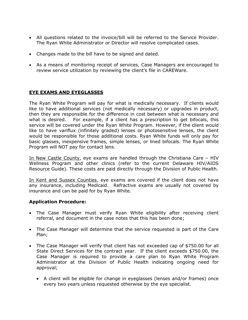- All questions related to the invoice/bill will be referred to the Service Provider. The Ryan White Administrator or Director will resolve complicated cases.
- Changes made to the bill have to be signed and dated.
- As a means of monitoring receipt of services, Case Managers are encouraged to review service utilization by reviewing the client's file in CAREWare.

# **EYE EXAMS AND EYEGLASSES**

The Ryan White Program will pay for what is medically necessary. If clients would like to have additional services (not medically necessary) or upgrades in product, then they are responsible for the difference in cost between what is necessary and what is desired. For example, if a client has a prescription to get bifocals, this service will be covered under the Ryan White Program. However, if the client would like to have variflux (infinitely graded) lenses or photosensitive lenses, the client would be responsible for those additional costs. Ryan White funds will only pay for basic glasses, inexpensive frames, simple lenses, or lined bifocals. The Ryan White Program will NOT pay for contact lens.

In New Castle County, eye exams are handled through the Christiana Care – HIV Wellness Program and other clinics (refer to the current Delaware HIV/AIDS Resource Guide). These costs are paid directly through the Division of Public Health.

In Kent and Sussex Counties, eye exams are covered if the client does not have any insurance, including Medicaid. Refractive exams are usually not covered by insurance and can be paid for by Ryan White.

# **Application Procedure:**

- The Case Manager must verify Ryan White eligibility after receiving client referral, and document in the case notes that this has been done;
- The Case Manager will determine that the service requested is part of the Care Plan;
- The Case Manager will verify that client has not exceeded cap of \$750.00 for all State Direct Services for the contract year. If the client exceeds \$750.00, the Case Manager is required to provide a care plan to Ryan White Program Administrator at the Division of Public Health indicating ongoing need for approval;
	- A client will be eligible for change in eyeglasses (lenses and/or frames) once every two years unless requested otherwise by the eye specialist.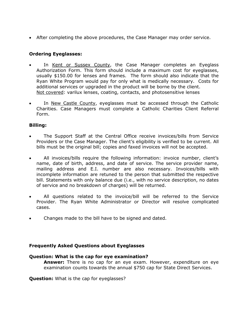After completing the above procedures, the Case Manager may order service.

# **Ordering Eyeglasses:**

- In Kent or Sussex County, the Case Manager completes an Eyeglass Authorization Form. This form should include a maximum cost for eyeglasses, usually \$150.00 for lenses and frames. The form should also indicate that the Ryan White Program would pay for only what is medically necessary. Costs for additional services or upgraded in the product will be borne by the client. Not covered: varilux lenses, coating, contacts, and photosensitive lenses
- In New Castle County, eyeglasses must be accessed through the Catholic Charities. Case Managers must complete a Catholic Charities Client Referral Form.

# **Billing:**

- The Support Staff at the Central Office receive invoices/bills from Service Providers or the Case Manager. The client's eligibility is verified to be current. All bills must be the original bill; copies and faxed invoices will not be accepted.
- All invoices/bills require the following information: invoice number, client's name, date of birth, address, and date of service. The service provider name, mailing address and E.I. number are also necessary. Invoices/bills with incomplete information are retuned to the person that submitted the respective bill. Statements with only balance due (i.e., with no service description, no dates of service and no breakdown of charges) will be returned.
- All questions related to the invoice/bill will be referred to the Service Provider. The Ryan White Administrator or Director will resolve complicated cases.
- Changes made to the bill have to be signed and dated.

# **Frequently Asked Questions about Eyeglasses**

# **Question: What is the cap for eye examination?**

**Answer:** There is no cap for an eye exam. However, expenditure on eye examination counts towards the annual \$750 cap for State Direct Services.

**Question:** What is the cap for eyeglasses?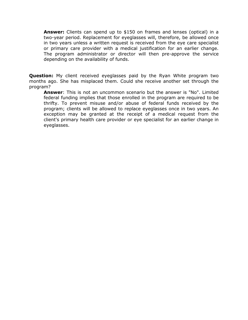**Answer:** Clients can spend up to \$150 on frames and lenses (optical) in a two-year period. Replacement for eyeglasses will, therefore, be allowed once in two years unless a written request is received from the eye care specialist or primary care provider with a medical justification for an earlier change. The program administrator or director will then pre-approve the service depending on the availability of funds.

**Question:** My client received eyeglasses paid by the Ryan White program two months ago. She has misplaced them. Could she receive another set through the program?

**Answer**: This is not an uncommon scenario but the answer is "No". Limited federal funding implies that those enrolled in the program are required to be thrifty. To prevent misuse and/or abuse of federal funds received by the program; clients will be allowed to replace eyeglasses once in two years. An exception may be granted at the receipt of a medical request from the client's primary health care provider or eye specialist for an earlier change in eyeglasses.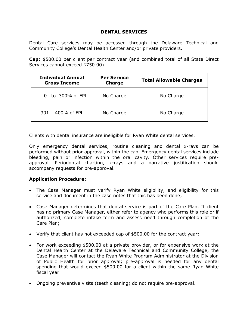# **DENTAL SERVICES**

Dental Care services may be accessed through the Delaware Technical and Community College's Dental Health Center and/or private providers.

**Cap**: \$500.00 per client per contract year (and combined total of all State Direct Services cannot exceed \$750.00)

| <b>Individual Annual</b><br><b>Gross Income</b> | <b>Per Service</b><br><b>Charge</b> | <b>Total Allowable Charges</b> |
|-------------------------------------------------|-------------------------------------|--------------------------------|
| to 300% of FPL<br>0                             | No Charge                           | No Charge                      |
| $301 - 400\%$ of FPL                            | No Charge                           | No Charge                      |

Clients with dental insurance are ineligible for Ryan White dental services.

Only emergency dental services, routine cleaning and dental x-rays can be performed without prior approval, within the cap. Emergency dental services include bleeding, pain or infection within the oral cavity. Other services require preapproval. Periodontal charting, x-rays and a narrative justification should accompany requests for pre-approval.

# **Application Procedure:**

- The Case Manager must verify Ryan White eligibility, and eligibility for this service and document in the case notes that this has been done;
- Case Manager determines that dental service is part of the Care Plan. If client has no primary Case Manager, either refer to agency who performs this role or if authorized, complete intake form and assess need through completion of the Care Plan;
- Verify that client has not exceeded cap of \$500.00 for the contract year;
- For work exceeding \$500.00 at a private provider, or for expensive work at the Dental Health Center at the Delaware Technical and Community College, the Case Manager will contact the Ryan White Program Administrator at the Division of Public Health for prior approval; pre-approval is needed for any dental spending that would exceed \$500.00 for a client within the same Ryan White fiscal year
- Ongoing preventive visits (teeth cleaning) do not require pre-approval.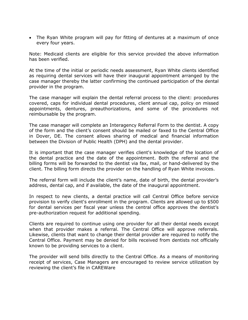The Ryan White program will pay for fitting of dentures at a maximum of once every four years.

Note: Medicaid clients are eligible for this service provided the above information has been verified.

At the time of the initial or periodic needs assessment, Ryan White clients identified as requiring dental services will have their inaugural appointment arranged by the case manager thereby the latter confirming the continued participation of the dental provider in the program.

The case manager will explain the dental referral process to the client: procedures covered, caps for individual dental procedures, client annual cap, policy on missed appointments, dentures, preauthorizations, and some of the procedures not reimbursable by the program.

The case manager will complete an Interagency Referral Form to the dentist. A copy of the form and the client's consent should be mailed or faxed to the Central Office in Dover, DE. The consent allows sharing of medical and financial information between the Division of Public Health (DPH) and the dental provider.

It is important that the case manager verifies client's knowledge of the location of the dental practice and the date of the appointment. Both the referral and the billing forms will be forwarded to the dentist via fax, mail, or hand-delivered by the client. The billing form directs the provider on the handling of Ryan White invoices.

The referral form will include the client's name, date of birth, the dental provider's address, dental cap, and if available, the date of the inaugural appointment.

In respect to new clients, a dental practice will call Central Office before service provision to verify client's enrollment in the program. Clients are allowed up to \$500 for dental services per fiscal year unless the central office approves the dentist's pre-authorization request for additional spending.

Clients are required to continue using one provider for all their dental needs except when that provider makes a referral. The Central Office will approve referrals. Likewise, clients that want to change their dental provider are required to notify the Central Office. Payment may be denied for bills received from dentists not officially known to be providing services to a client.

The provider will send bills directly to the Central Office. As a means of monitoring receipt of services, Case Managers are encouraged to review service utilization by reviewing the client's file in CAREWare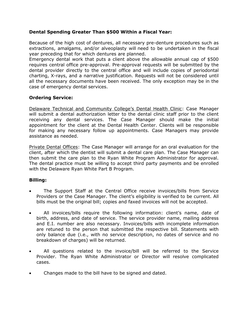# **Dental Spending Greater Than \$500 Within a Fiscal Year:**

Because of the high cost of dentures, all necessary pre-denture procedures such as extractions, amalgams, and/or alveoplasty will need to be undertaken in the fiscal year preceding that for which dentures are planned.

Emergency dental work that puts a client above the allowable annual cap of \$500 requires central office pre-approval. Pre-approval requests will be submitted by the dental provider directly to the central office and will include copies of periodontal charting, X-rays, and a narrative justification. Requests will not be considered until all the necessary documents have been received. The only exception may be in the case of emergency dental services.

# **Ordering Service:**

Delaware Technical and Community College's Dental Health Clinic: Case Manager will submit a dental authorization letter to the dental clinic staff prior to the client receiving any dental services. The Case Manager should make the initial appointment for the client at the Dental Health Center. Clients will be responsible for making any necessary follow up appointments. Case Managers may provide assistance as needed.

Private Dental Offices: The Case Manager will arrange for an oral evaluation for the client, after which the dentist will submit a dental care plan. The Case Manager can then submit the care plan to the Ryan White Program Administrator for approval. The dental practice must be willing to accept third party payments and be enrolled with the Delaware Ryan White Part B Program.

# **Billing:**

- The Support Staff at the Central Office receive invoices/bills from Service Providers or the Case Manager. The client's eligibility is verified to be current. All bills must be the original bill; copies and faxed invoices will not be accepted.
- All invoices/bills require the following information: client's name, date of birth, address, and date of service. The service provider name, mailing address and E.I. number are also necessary. Invoices/bills with incomplete information are retuned to the person that submitted the respective bill. Statements with only balance due (i.e., with no service description, no dates of service and no breakdown of charges) will be returned.
- All questions related to the invoice/bill will be referred to the Service Provider. The Ryan White Administrator or Director will resolve complicated cases.
- Changes made to the bill have to be signed and dated.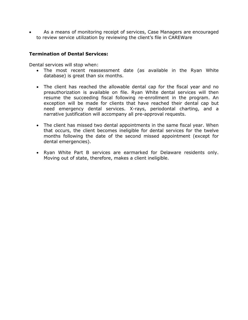As a means of monitoring receipt of services, Case Managers are encouraged to review service utilization by reviewing the client's file in CAREWare

## **Termination of Dental Services:**

Dental services will stop when:

- The most recent reassessment date (as available in the Ryan White database) is great than six months.
- The client has reached the allowable dental cap for the fiscal year and no preauthorization is available on file. Ryan White dental services will then resume the succeeding fiscal following re-enrollment in the program. An exception will be made for clients that have reached their dental cap but need emergency dental services. X-rays, periodontal charting, and a narrative justification will accompany all pre-approval requests.
- The client has missed two dental appointments in the same fiscal year. When that occurs, the client becomes ineligible for dental services for the twelve months following the date of the second missed appointment (except for dental emergencies).
- Ryan White Part B services are earmarked for Delaware residents only. Moving out of state, therefore, makes a client ineligible.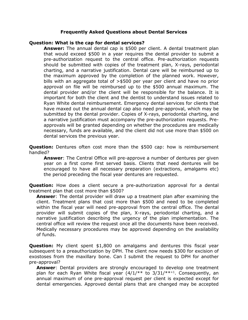## **Frequently Asked Questions about Dental Services**

## **Question: What is the cap for dental services?**

**Answer:** The annual dental cap is \$500 per client. A dental treatment plan that would exceed \$500 in a year requires the dental provider to submit a pre-authorization request to the central office. Pre-authorization requests should be submitted with copies of the treatment plan, X-rays, periodontal charting, and a narrative justification. Dental care will be reimbursed up to the maximum approved by the completion of the planned work. However, bills with an aggregate total of >\$500 per year per client and have no prior approval on file will be reimbursed up to the \$500 annual maximum. The dental provider and/or the client will be responsible for the balance. It is important for both the client and the dentist to understand issues related to Ryan White dental reimbursement. Emergency dental services for clients that have maxed out the annual dental cap also need pre-approval, which may be submitted by the dental provider. Copies of X-rays, periodontal charting, and a narrative justification must accompany the pre-authorization requests. Preapprovals will be granted depending on whether the procedures are medically necessary, funds are available, and the client did not use more than \$500 on dental services the previous year.

**Question:** Dentures often cost more than the \$500 cap: how is reimbursement handled?

**Answer**: The Central Office will pre-approve a number of dentures per given year on a first come first served basis. Clients that need dentures will be encouraged to have all necessary preparation (extractions, amalgams etc) the period preceding the fiscal year dentures are requested.

**Question:** How does a client secure a pre-authorization approval for a dental treatment plan that cost more than \$500?

**Answer**: The dental provider will draw up a treatment plan after examining the client. Treatment plans that cost more than \$500 and need to be completed within the fiscal year will need pre-approval from the central office. The dental provider will submit copies of the plan, X-rays, periodontal charting, and a narrative justification describing the urgency of the plan implementation. The central office will review the request once all the documents have been received. Medically necessary procedures may be approved depending on the availability of funds.

**Question:** My client spent \$1,800 on amalgams and dentures this fiscal year subsequent to a preauthorization by DPH. The client now needs \$300 for excision of exostoses from the maxillary bone. Can I submit the request to DPH for another pre-approval?

**Answer**: Dental providers are strongly encouraged to develop one treatment plan for each Ryan White fiscal year  $(4/1/**$  to  $3/31/**+1$ . Consequently, an annual maximum of one pre-approval request per client is expected except for dental emergencies. Approved dental plans that are changed may be accepted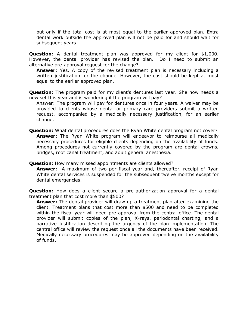but only if the total cost is at most equal to the earlier approved plan. Extra dental work outside the approved plan will not be paid for and should wait for subsequent years.

**Question:** A dental treatment plan was approved for my client for \$1,000. However, the dental provider has revised the plan. Do I need to submit an alternative pre-approval request for the change?

**Answer**: Yes. A copy of the revised treatment plan is necessary including a written justification for the change. However, the cost should be kept at most equal to the earlier approved plan.

**Question:** The program paid for my client's dentures last year. She now needs a new set this year and is wondering if the program will pay?

Answer: The program will pay for dentures once in four years. A waiver may be provided to clients whose dental or primary care providers submit a written request, accompanied by a medically necessary justification, for an earlier change.

**Question:** What dental procedures does the Ryan White dental program not cover? **Answer:** The Ryan White program will endeavor to reimburse all medically necessary procedures for eligible clients depending on the availability of funds. Among procedures not currently covered by the program are dental crowns, bridges, root canal treatment, and adult general anesthesia.

**Question:** How many missed appointments are clients allowed?

**Answer:** A maximum of two per fiscal year and, thereafter, receipt of Ryan White dental services is suspended for the subsequent twelve months except for dental emergencies.

**Question:** How does a client secure a pre-authorization approval for a dental treatment plan that cost more than \$500?

**Answer:** The dental provider will draw up a treatment plan after examining the client. Treatment plans that cost more than \$500 and need to be completed within the fiscal year will need pre-approval from the central office. The dental provider will submit copies of the plan, X-rays, periodontal charting, and a narrative justification describing the urgency of the plan implementation. The central office will review the request once all the documents have been received. Medically necessary procedures may be approved depending on the availability of funds.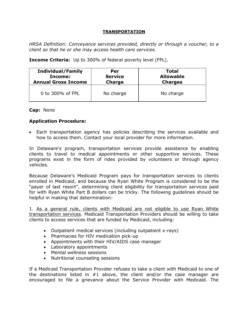## **TRANSPORTATION**

*HRSA Definition: Conveyance services provided, directly or through a voucher, to a client so that he or she may access health care services.*

**Income Criteria:** Up to 300% of federal poverty level (FPL).

| <b>Individual/Family</b>   | Per            | <b>Total</b>     |
|----------------------------|----------------|------------------|
| Income:                    | <b>Service</b> | <b>Allowable</b> |
| <b>Annual Gross Income</b> | <b>Charge</b>  | <b>Charges</b>   |
| 0 to 300% of FPL           | No charge      | No charge        |

**Cap:** None

# **Application Procedure:**

 Each transportation agency has policies describing the services available and how to access them. Contact your local provider for more information.

In Delaware's program, transportation services provide assistance by enabling clients to travel to medical appointments or other supportive services. These programs exist in the form of rides provided by volunteers or through agency vehicles.

Because Delaware's Medicaid Program pays for transportation services to clients enrolled in Medicaid, and because the Ryan White Program is considered to be the "payer of last resort", determining client eligibility for transportation services paid for with Ryan White Part B dollars can be tricky. The following guidelines should be helpful in making that determination:

1. As a general rule, clients with Medicaid are not eligible to use Ryan White transportation services. Medicaid Transportation Providers should be willing to take clients to access services that are funded by Medicaid, including:

- Outpatient medical services (including outpatient x-rays)
- Pharmacies for HIV medication pick-up
- Appointments with their HIV/AIDS case manager
- Laboratory appointments
- Mental wellness sessions
- Nutritional counseling sessions

If a Medicaid Transportation Provider refuses to take a client with Medicaid to one of the destinations listed in #1 above, the client and/or the case manager are encouraged to file a grievance about the Service Provider with Medicaid. The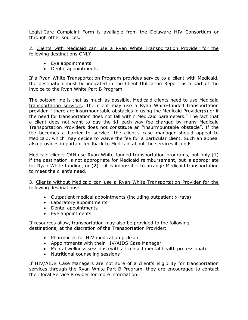LogistiCare Complaint Form is available from the Delaware HIV Consortium or through other sources.

2. Clients with Medicaid can use a Ryan White Transportation Provider for the following destinations ONLY:

- Eye appointments
- Dental appointments

If a Ryan White Transportation Program provides service to a client with Medicaid, the destination must be indicated in the Client Utilization Report as a part of the invoice to the Ryan White Part B Program.

The bottom line is that as much as possible, Medicaid clients need to use Medicaid transportation services. The client may use a Ryan White-funded transportation provider if there are insurmountable obstacles in using the Medicaid Provider(s) or if the need for transportation does not fall within Medicaid parameters." The fact that a client does not want to pay the \$1 each way fee charged by many Medicaid Transportation Providers does not constitute an "insurmountable obstacle". If the fee becomes a barrier to service, the client's case manager should appeal to Medicaid, which may decide to waive the fee for a particular client. Such an appeal also provides important feedback to Medicaid about the services it funds.

Medicaid clients CAN use Ryan White-funded transportation programs, but only (1) if the destination is not appropriate for Medicaid reimbursement, but is appropriate for Ryan White funding, or (2) if it is impossible to arrange Medicaid transportation to meet the client's need.

3. Clients without Medicaid can use a Ryan White Transportation Provider for the following destinations:

- Outpatient medical appointments (including outpatient x-rays)
- Laboratory appointments
- Dental appointments
- Eye appointments

If resources allow, transportation may also be provided to the following destinations, at the discretion of the Transportation Provider:

- Pharmacies for HIV medication pick-up
- Appointments with their HIV/AIDS Case Manager
- Mental wellness sessions (with a licensed mental health professional)
- Nutritional counseling sessions

If HIV/AIDS Case Managers are not sure of a client's eligibility for transportation services through the Ryan White Part B Program, they are encouraged to contact their local Service Provider for more information.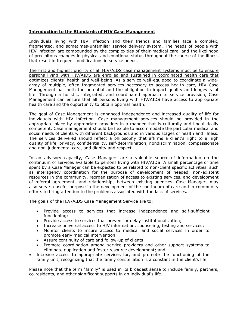## **Introduction to the Standards of HIV Case Management**

Individuals living with HIV infection and their friends and families face a complex, fragmented, and sometimes-unfamiliar service delivery system. The needs of people with HIV infection are compounded by the complexities of their medical care, and the likelihood of precipitous changes in physical and emotional status throughout the course of the illness that result in frequent modifications in service needs.

The first and highest priority of all HIV/AIDS case management systems must be to ensure persons living with HIV/AIDS are enrolled and sustained in coordinated health care that optimizes clients' health and well-being. As a service well-equipped to coordinate a widearray of multiple, often fragmented services necessary to access health care, HIV Case Management has both the potential and the obligation to impact quality and longevity of life. Through a holistic, integrated, and coordinated approach to service provision, Case Management can ensure that all persons living with HIV/AIDS have access to appropriate health care and the opportunity to obtain optimal health.

The goal of Case Management is enhanced independence and increased quality of life for individuals with HIV infection. Case management services should be provided in the appropriate place by appropriate providers in a manner that is culturally and linguistically competent. Case management should be flexible to accommodate the particular medical and social needs of clients with different backgrounds and in various stages of health and illness. The services delivered should reflect a philosophy that affirms a client's right to a high quality of life, privacy, confidentiality, self-determination, nondiscrimination, compassionate and non-judgmental care, and dignity and respect.

In an advisory capacity, Case Managers are a valuable source of information on the continuum of services available to persons living with HIV/AIDS. A small percentage of time spent by a Case Manager can be expected to be related to non-client specific activities, such as interagency coordination for the purpose of development of needed, non-existent resources in the community, reorganization of access to existing services, and development of referral agreements and relationships between existing agencies. Case Managers may also serve a useful purpose in the development of the continuum of care and in community efforts to bring attention to the problems associated with the lack of services.

The goals of the HIV/AIDS Case Management Service are to:

- Provide access to services that increase independence and self-sufficient functioning;
- Provide access to services that prevent or delay institutionalization;
- Increase universal access to HIV information, counseling, testing and services;
- Monitor clients to insure access to medical and social services in order to promote early medical intervention;
- Assure continuity of care and follow-up of clients;
- Promote coordination among service providers and other support systems to eliminate duplication and foster resource development; and
- Increase access to appropriate services for, and promote the functioning of the family unit, recognizing that the family constellation is a constant in the client's life.

Please note that the term "family" is used in its broadest sense to include family, partners, co-residents, and other significant supports in an individual's life.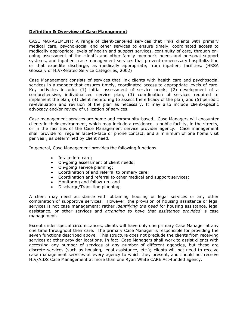### **Definition & Overview of Case Management**

CASE MANAGEMENT: A range of client-centered services that links clients with primary medical care, psycho-social and other services to ensure timely, coordinated access to medically appropriate levels of health and support services, continuity of care, through ongoing assessment of the client's and other family member's needs and personal support systems, and inpatient case management services that prevent unnecessary hospitalization or that expedite discharge, as medically appropriate, from inpatient facilities. (HRSA Glossary of HIV-Related Service Categories, 2002)

Case Management consists of services that link clients with health care and psychosocial services in a manner that ensures timely, coordinated access to appropriate levels of care. Key activities include: (1) initial assessment of service needs, (2) development of a comprehensive, individualized service plan, (3) coordination of services required to implement the plan, (4) client monitoring to assess the efficacy of the plan, and (5) periodic re-evaluation and revision of the plan as necessary. It may also include client-specific advocacy and/or review of utilization of services.

Case management services are home and community-based. Case Managers will encounter clients in their environment, which may include a residence, a public facility, in the streets, or in the facilities of the Case Management service provider agency. Case management shall provide for regular face-to-face or phone contact, and a minimum of one home visit per year, as determined by client need.

In general, Case Management provides the following functions:

- Intake into care;
- On-going assessment of client needs;
- On-going service planning;
- Coordination of and referral to primary care;
- Coordination and referral to other medical and support services;
- Monitoring and follow-up; and
- Discharge/Transition planning.

A client may need assistance with obtaining housing or legal services or any other combination of supportive services. However, the provision of housing assistance or legal services is not case management; rather *identifying the need* for housing assistance, legal assistance, or other services and *arranging to have that assistance provided* is case management.

Except under special circumstances, clients will have only one primary Case Manager at any one time throughout their care. The primary Case Manager is responsible for providing the seven functions described above. This structure does not preclude the clients from receiving services at other provider locations. In fact, Case Managers shall work to assist clients with accessing any number of services at any number of different agencies, but these are discrete services (such as housing, legal assistance, etc.); clients will not need to receive case management services at every agency to which they present, and should not receive HIV/AIDS Case Management at more than one Ryan White CARE Act-funded agency.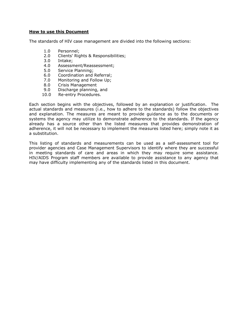#### **How to use this Document**

The standards of HIV case management are divided into the following sections:

- 1.0 Personnel;
- 2.0 Clients' Rights & Responsibilities;
- 3.0 Intake;
- 4.0 Assessment/Reassessment;
- 5.0 Service Planning;
- 6.0 Coordination and Referral;
- 7.0 Monitoring and Follow Up;
- 8.0 Crisis Management
- 9.0 Discharge planning, and
- 10.0 Re-entry Procedures.

Each section begins with the objectives, followed by an explanation or justification. The actual standards and measures (i.e., how to adhere to the standards) follow the objectives and explanation. The measures are meant to provide guidance as to the documents or systems the agency may utilize to demonstrate adherence to the standards. If the agency already has a source other than the listed measures that provides demonstration of adherence, it will not be necessary to implement the measures listed here; simply note it as a substitution.

This listing of standards and measurements can be used as a self-assessment tool for provider agencies and Case Management Supervisors to identify where they are successful in meeting standards of care and areas in which they may require some assistance. HIV/AIDS Program staff members are available to provide assistance to any agency that may have difficulty implementing any of the standards listed in this document.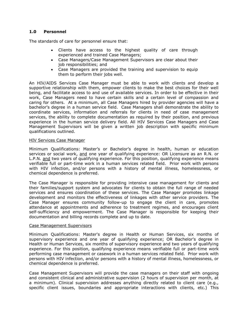## **1.0 Personnel**

The standards of care for personnel ensure that:

- Clients have access to the highest quality of care through experienced and trained Case Managers;
- Case Managers/Case Management Supervisors are clear about their job responsibilities; and
- Case Managers are provided the training and supervision to equip them to perform their jobs well.

An HIV/AIDS Services Case Manager must be able to work with clients and develop a supportive relationship with them, empower clients to make the best choices for their well being, and facilitate access to and use of available services. In order to be effective in their work, Case Managers need to have certain skills and a certain level of compassion and caring for others. At a minimum, all Case Managers hired by provider agencies will have a bachelor's degree in a human service field. Case Managers shall demonstrate the ability to coordinate services, information and referrals for clients in need of case management services, the ability to complete documentation as required by their position, and previous experience in the human service delivery field. All HIV Services Case Managers and Case Management Supervisors will be given a written job description with specific minimum qualifications outlined.

#### HIV Services Case Manager

Minimum Qualifications: Master's or Bachelor's degree in health, human or education services or social work, and one year of qualifying experience: OR Licensure as an R.N. or L.P.N. and two years of qualifying experience. For this position, qualifying experience means verifiable full or part-time work in a human services related field. Prior work with persons with HIV infection, and/or persons with a history of mental illness, homelessness, or chemical dependence is preferred.

The Case Manager is responsible for providing intensive case management for clients and their families/support system and advocates for clients to obtain the full range of needed services and ensures coordination of these services. The Case Manager promotes linkage development and monitors the effectiveness of linkages with other service providers. The Case Manager ensures community follow-up to engage the client in care, promotes attendance at appointments and adherence to treatment regimes, and encourages client self-sufficiency and empowerment. The Case Manager is responsible for keeping their documentation and billing records complete and up to date.

### Case Management Supervisors

Minimum Qualifications: Master's degree in Health or Human Services, six months of supervisory experience and one year of qualifying experience; OR Bachelor's degree in Health or Human Services, six months of supervisory experience and two years of qualifying experience. For this position, qualifying experience means verifiable full or part-time work performing case management or casework in a human services related field. Prior work with persons with HIV infection, and/or persons with a history of mental illness, homelessness, or chemical dependence is preferred.

Case Management Supervisors will provide the case managers on their staff with ongoing and consistent clinical and administrative supervision (2 hours of supervision per month, at a minimum). Clinical supervision addresses anything directly related to client care (e.g., specific client issues, boundaries and appropriate interactions with clients, etc.) This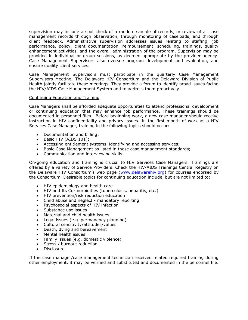supervision may include a spot check of a random sample of records, or review of all case management records through observation, through monitoring of caseloads, and through client feedback. Administrative supervision addresses issues relating to staffing, job performance, policy, client documentation, reimbursement, scheduling, trainings, quality enhancement activities, and the overall administration of the program. Supervision may be provided in individual or group sessions, as deemed appropriate by the provider agency. Case Management Supervisors also oversee program development and evaluation, and ensure quality client services.

Case Management Supervisors must participate in the quarterly Case Management Supervisors Meeting. The Delaware HIV Consortium and the Delaware Division of Public Health jointly facilitate these meetings. They provide a forum to identify broad issues facing the HIV/AIDS Case Management System and to address them proactively.

### Continuing Education and Training

Case Managers shall be afforded adequate opportunities to attend professional development or continuing education that may enhance job performance. These trainings should be documented in personnel files. Before beginning work, a new case manager should receive instruction in HIV confidentiality and privacy issues. In the first month of work as a HIV Services Case Manager, training in the following topics should occur:

- Documentation and billing;
- Basic HIV (AIDS 101);
- Accessing entitlement systems, identifying and accessing services;
- Basic Case Management as listed in these case management standards;
- Communication and interviewing skills.

On-going education and training is crucial to HIV Services Case Managers. Trainings are offered by a variety of Service Providers. Check the HIV/AIDS Trainings Central Registry on the Delaware HIV Consortium's web page ([www.delawarehiv.org\)](http://www.delawarehiv.org/) for courses endorsed by the Consortium. Desirable topics for continuing education include, but are not limited to:

- HIV epidemiology and health care
- HIV and Its Co-morbidities (tuberculosis, hepatitis, etc.)
- HIV prevention/risk reduction education
- Child abuse and neglect mandatory reporting
- Psychosocial aspects of HIV infection
- Substance use issues
- Maternal and child health issues
- Legal issues (e.g. permanency planning)
- Cultural sensitivity/attitudes/values
- Death, dving and bereavement
- Mental health issues
- Family issues (e.g. domestic violence)
- Stress / burnout reduction
- Disclosure.

If the case manager/case management technician received related required training during other employment, it may be verified and substituted and documented in the personnel file.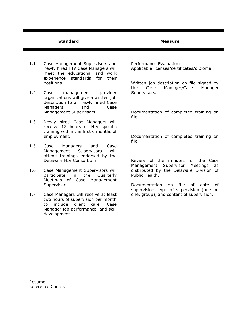#### **Standard Measure**

- 1.1 Case Management Supervisors and newly hired HIV Case Managers will meet the educational and work experience standards for their positions.
- 1.2 Case management provider organizations will give a written job description to all newly hired Case Managers and Case Management Supervisors.
- 1.3 Newly hired Case Managers will receive 12 hours of HIV specific training within the first 6 months of employment.
- 1.5 Case Managers and Case Management Supervisors will attend trainings endorsed by the Delaware HIV Consortium.
- 1.6 Case Management Supervisors will participate in the Quarterly Meetings of Case Management Supervisors.
- 1.7 Case Managers will receive at least two hours of supervision per month to include client care, Case Manager job performance, and skill development.

Performance Evaluations Applicable licenses/certificates/diploma

Written job description on file signed by the Case Manager/Case Manager Supervisors.

Documentation of completed training on file.

Documentation of completed training on file.

Review of the minutes for the Case Management Supervisor Meetings as distributed by the Delaware Division of Public Health.

Documentation on file of date of supervision, type of supervision (one on one, group), and content of supervision.

Resume Reference Checks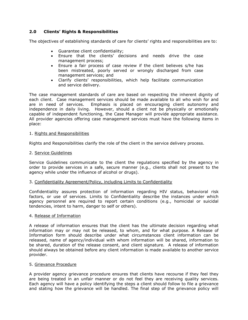## **2.0 Clients' Rights & Responsibilities**

The objectives of establishing standards of care for clients' rights and responsibilities are to:

- Guarantee client confidentiality;
- Ensure that the clients' decisions and needs drive the case management process;
- Ensure a fair process of case review if the client believes s/he has been mistreated, poorly served or wrongly discharged from case management services; and
- Clarify clients' responsibilities, which help facilitate communication and service delivery.

The case management standards of care are based on respecting the inherent dignity of each client. Case management services should be made available to all who wish for and are in need of services. Emphasis is placed on encouraging client autonomy and independence in daily living. However, should a client not be physically or emotionally capable of independent functioning, the Case Manager will provide appropriate assistance. All provider agencies offering case management services must have the following items in place:

#### 1. Rights and Responsibilities

Rights and Responsibilities clarify the role of the client in the service delivery process.

#### 2. Service Guidelines

Service Guidelines communicate to the client the regulations specified by the agency in order to provide services in a safe, secure manner (e.g., clients shall not present to the agency while under the influence of alcohol or drugs).

#### 3. Confidentiality Agreement/Policy, including Limits to Confidentiality

Confidentiality assures protection of information regarding HIV status, behavioral risk factors, or use of services. Limits to Confidentiality describe the instances under which agency personnel are required to report certain conditions (e.g., homicidal or suicidal tendencies, intent to harm, danger to self or others).

#### 4. Release of Information

A release of information ensures that the client has the ultimate decision regarding what information may or may not be released, to whom, and for what purpose. A Release of Information form should describe under what circumstances client information can be released, name of agency/individual with whom information will be shared, information to be shared, duration of the release consent, and client signature. A release of information should always be obtained before any client information is made available to another service provider.

#### 5. Grievance Procedure

A provider agency grievance procedure ensures that clients have recourse if they feel they are being treated in an unfair manner or do not feel they are receiving quality services. Each agency will have a policy identifying the steps a client should follow to file a grievance and stating how the grievance will be handled. The final step of the grievance policy will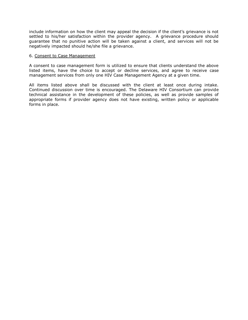include information on how the client may appeal the decision if the client's grievance is not settled to his/her satisfaction within the provider agency. A grievance procedure should guarantee that no punitive action will be taken against a client, and services will not be negatively impacted should he/she file a grievance.

#### 6. Consent to Case Management

A consent to case management form is utilized to ensure that clients understand the above listed items, have the choice to accept or decline services, and agree to receive case management services from only one HIV Case Management Agency at a given time.

All items listed above shall be discussed with the client at least once during intake. Continued discussion over time is encouraged. The Delaware HIV Consortium can provide technical assistance in the development of these policies, as well as provide samples of appropriate forms if provider agency does not have existing, written policy or applicable forms in place.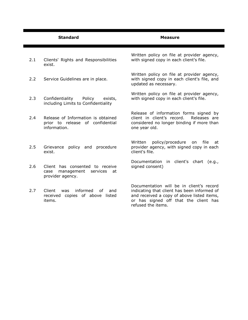|     | <b>Standard</b>                                                                          | <b>Measure</b>                                                                                                                                                                                       |
|-----|------------------------------------------------------------------------------------------|------------------------------------------------------------------------------------------------------------------------------------------------------------------------------------------------------|
| 2.1 | Clients' Rights and Responsibilities<br>exist.                                           | Written policy on file at provider agency,<br>with signed copy in each client's file.                                                                                                                |
| 2.2 | Service Guidelines are in place.                                                         | Written policy on file at provider agency,<br>with signed copy in each client's file, and<br>updated as necessary.                                                                                   |
| 2.3 | Confidentiality<br>Policy<br>exists,<br>including Limits to Confidentiality              | Written policy on file at provider agency,<br>with signed copy in each client's file.                                                                                                                |
| 2.4 | Release of Information is obtained<br>prior to release of confidential<br>information.   | Release of information forms signed by<br>client in client's record.<br>Releases are<br>considered no longer binding if more than<br>one year old.                                                   |
| 2.5 | Grievance policy and procedure<br>exist.                                                 | policy/procedure<br>Written<br>file<br>on<br>at<br>provider agency, with signed copy in each<br>client's file.                                                                                       |
| 2.6 | Client has consented to receive<br>management services<br>case<br>at<br>provider agency. | Documentation in client's chart (e.g.,<br>signed consent)                                                                                                                                            |
| 2.7 | Client<br>informed<br>of<br>was<br>and<br>received copies of above listed<br>items.      | Documentation will be in client's record<br>indicating that client has been informed of<br>and received a copy of above listed items,<br>or has signed off that the client has<br>refused the items. |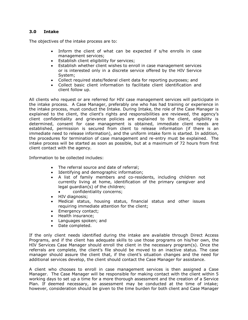## **3.0 Intake**

The objectives of the intake process are to:

- Inform the client of what can be expected if s/he enrolls in case management services;
- Establish client eligibility for services;
- Establish whether client wishes to enroll in case management services or is interested only in a discrete service offered by the HIV Service System;
- Collect required state/federal client data for reporting purposes; and
- Collect basic client information to facilitate client identification and client follow up.

All clients who request or are referred for HIV case management services will participate in the intake process. A Case Manager, preferably one who has had training or experience in the intake process, must conduct the Intake. During Intake, the role of the Case Manager is explained to the client, the client's rights and responsibilities are reviewed, the agency's client confidentiality and grievance policies are explained to the client, eligibility is determined, consent for case management is obtained, immediate client needs are established, permission is secured from client to release information (if there is an immediate need to release information), and the uniform intake form is started. In addition, the procedures for termination of case management and re-entry must be explained. The intake process will be started as soon as possible, but at a maximum of 72 hours from first client contact with the agency.

Information to be collected includes:

- The referral source and date of referral:
- Identifying and demographic information;
- A list of family members and co-residents, including children not currently living at home, identification of the primary caregiver and legal guardian(s) of the children;
	- confidentiality concerns;
- HIV diagnosis:
- Medical status, housing status, financial status and other issues requiring immediate attention for the client;
- Emergency contact;
- Health insurance;
- Languages spoken: and
- Date completed.

If the only client needs identified during the intake are available through Direct Access Programs, and if the client has adequate skills to use those programs on his/her own, the HIV Services Case Manager should enroll the client in the necessary program(s). Once the referrals are complete, the client's file should be moved to an inactive status. The case manager should assure the client that, if the client's situation changes and the need for additional services develop, the client should contact the Case Manager for assistance.

A client who chooses to enroll in case management services is then assigned a Case Manager. The Case Manager will be responsible for making contact with the client within 5 working days to set up a time for a more thorough assessment and the creation of a Service Plan. If deemed necessary, an assessment may be conducted at the time of intake; however, consideration should be given to the time burden for both client and Case Manager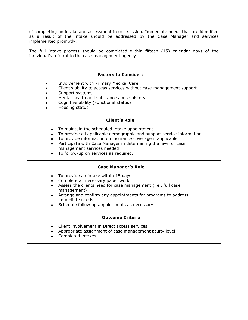of completing an intake and assessment in one session. Immediate needs that are identified as a result of the intake should be addressed by the Case Manager and services implemented promptly.

The full intake process should be completed within fifteen (15) calendar days of the individual's referral to the case management agency.

| <b>Factors to Consider:</b>                                                                                                                                                                                                                                                                                                                                                       |  |  |
|-----------------------------------------------------------------------------------------------------------------------------------------------------------------------------------------------------------------------------------------------------------------------------------------------------------------------------------------------------------------------------------|--|--|
| Involvement with Primary Medical Care<br>٠<br>Client's ability to access services without case management support<br>Support systems<br>Mental health and substance abuse history<br>Cognitive ability (Functional status)<br>Housing status                                                                                                                                      |  |  |
| <b>Client's Role</b>                                                                                                                                                                                                                                                                                                                                                              |  |  |
| To maintain the scheduled intake appointment.<br>$\bullet$<br>To provide all applicable demographic and support service information<br>To provide information on insurance coverage if applicable<br>$\bullet$<br>Participate with Case Manager in determining the level of case<br>$\bullet$<br>management services needed<br>To follow-up on services as required.<br>$\bullet$ |  |  |
| <b>Case Manager's Role</b>                                                                                                                                                                                                                                                                                                                                                        |  |  |
| To provide an intake within 15 days<br>$\bullet$<br>• Complete all necessary paper work<br>Assess the clients need for case management (i.e., full case<br>$\bullet$<br>management)<br>Arrange and confirm any appointments for programs to address<br>$\bullet$<br>immediate needs<br>Schedule follow up appointments as necessary                                               |  |  |
| <b>Outcome Criteria</b>                                                                                                                                                                                                                                                                                                                                                           |  |  |
| Client involvement in Direct access services<br>Appropriate assignment of case management acuity level<br>Completed intakes                                                                                                                                                                                                                                                       |  |  |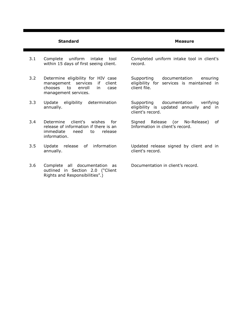#### **Standard Measure**

- 3.1 Complete uniform intake tool within 15 days of first seeing client.
- 3.2 Determine eligibility for HIV case management services if client chooses to enroll in case management services.
- 3.3 Update eligibility determination annually.
- 3.4 Determine client's wishes for release of information if there is an immediate need to release information.
- 3.5 Update release of information annually.
- 3.6 Complete all documentation as outlined in Section 2.0 ("Client Rights and Responsibilities".)

Completed uniform intake tool in client's record.

Supporting documentation ensuring eligibility for services is maintained in client file.

Supporting documentation verifying eligibility is updated annually and in client's record.

Signed Release (or No-Release) of Information in client's record.

Updated release signed by client and in client's record.

Documentation in client's record.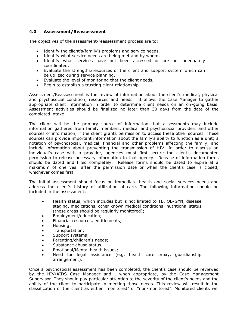## **4.0 Assessment/Reassessment**

The objectives of the assessment/reassessment process are to:

- Identify the client's/family's problems and service needs,
- Identify what service needs are being met and by whom,
- Identify what services have not been accessed or are not adequately coordinated,
- Evaluate the strengths/resources of the client and support system which can be utilized during service planning,
- Evaluate the level of monitoring that the client needs,
- Begin to establish a trusting client relationship.

Assessment/Reassessment is the review of information about the client's medical, physical and psychosocial condition, resources and needs. It allows the Case Manager to gather appropriate client information in order to determine client needs on an on-going basis. Assessment activities should be finalized no later than 30 days from the date of the completed intake.

The client will be the primary source of information, but assessments may include information gathered from family members, medical and psychosocial providers and other sources of information, if the client grants permission to access these other sources. These sources can provide important information about the family's ability to function as a unit; a notation of psychosocial, medical, financial and other problems affecting the family; and include information about preventing the transmission of HIV. In order to discuss an individual's case with a provider, agencies must first secure the client's documented permission to release necessary information to that agency. Release of information forms should be dated and filled completely. Release forms should be dated to expire at a maximum of one year after the permission date or when the client's case is closed, whichever comes first.

The initial assessment should focus on immediate health and social services needs and address the client's history of utilization of care. The following information should be included in the assessment:

- Health status, which includes but is not limited to TB, OB/GYN, disease staging, medications, other known medical conditions; nutritional status (these areas should be regularly monitored);
- Employment/education;
- Financial resources, entitlements;
- Housing;
- Transportation;
- Support systems;
- Parenting/children's needs;
- Substance abuse status;
- Emotional/Mental health issues:
- Need for legal assistance (e.g. health care proxy, guardianship arrangement).

Once a psychosocial assessment has been completed, the client's case should be reviewed by the HIV/AIDS Case Manager and , when appropriate, by the Case Management Supervisor. They should pay particular attention to the severity of the client's needs and the ability of the client to participate in meeting those needs. This review will result in the classification of the client as either "monitored" or "non-monitored". Monitored clients will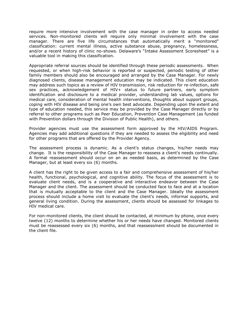require more intensive involvement with the case manager in order to access needed services. Non-monitored clients will require only minimal involvement with the case manager. There are five life circumstances that automatically merit a "monitored" classification: current mental illness, active substance abuse, pregnancy, homelessness, and/or a recent history of clinic no-shows. Delaware's "Intake Assessment Scoresheet" is a valuable tool in making this classification.

Appropriate referral sources should be identified through these periodic assessments. When requested, or when high-risk behavior is reported or suspected, periodic testing of other family members should also be encouraged and arranged by the Case Manager. For newly diagnosed clients, disease management education may be indicated. This client education may address such topics as a review of HIV transmission, risk reduction for re-infection, safe sex practices, acknowledgement of HIV+ status to future partners, early symptom identification and disclosure to a medical provider, understanding lab values, options for medical care, consideration of mental health interventions, thoughts about support groups, coping with HIV disease and being one's own best advocate. Depending upon the extent and type of education needed, this service may be provided by the Case Manager directly or by referral to other programs such as Peer Education, Prevention Case Management (as funded with Prevention dollars through the Division of Public Health), and others.

Provider agencies must use the assessment form approved by the HIV/AIDS Program. Agencies may add additional questions if they are needed to assess the eligibility and need for other programs that are offered by the Provider Agency.

The assessment process is dynamic. As a client's status changes, his/her needs may change. It is the responsibility of the Case Manager to reassess a client's needs continually. A formal reassessment should occur on an as needed basis, as determined by the Case Manager, but at least every six (6) months.

A client has the right to be given access to a fair and comprehensive assessment of his/her health, functional, psychological, and cognitive ability. The focus of the assessment is to evaluate client needs, and is a cooperative and interactive endeavor between the Case Manager and the client. The assessment should be conducted face to face and at a location that is mutually acceptable to the client and the Case Manager. Ideally the assessment process should include a home visit to evaluate the client's needs, informal supports, and general living condition. During the assessment, clients should be assessed for linkages to HIV medical care.

For non-monitored clients, the client should be contacted, at minimum by phone, once every twelve (12) months to determine whether his or her needs have changed. Monitored clients must be reassessed every six (6) months, and that reassessment should be documented in the client file.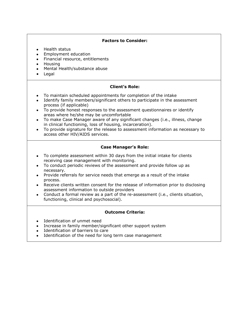## **Factors to Consider:**

- Health status
- Employment education
- Financial resource, entitlements
- Housing
- Mental Health/substance abuse
- Legal

## **Client's Role:**

- To maintain scheduled appointments for completion of the intake
- Identify family members/significant others to participate in the assessment process (if applicable)
- To provide honest responses to the assessment questionnaires or identify areas where he/she may be uncomfortable
- To make Case Manager aware of any significant changes (i.e., illness, change in clinical functioning, loss of housing, incarceration).
- To provide signature for the release to assessment information as necessary to access other HIV/AIDS services.

## **Case Manager's Role:**

- To complete assessment within 30 days from the initial intake for clients receiving case management with monitoring.
- To conduct periodic reviews of the assessment and provide follow up as necessary.
- Provide referrals for service needs that emerge as a result of the intake process.
- Receive clients written consent for the release of information prior to disclosing assessment information to outside providers
- Conduct a formal review as a part of the re-assessment (i.e., clients situation, functioning, clinical and psychosocial).

## **Outcome Criteria:**

- Identification of unmet need
- Increase in family member/significant other support system
- Identification of barriers to care
- Identification of the need for long term case management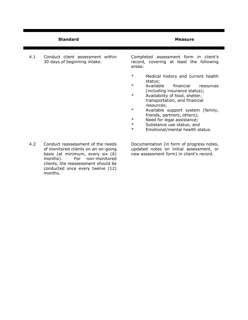|     | <b>Standard</b>                                                                                                                                                                         | Measure                                                                                                                                                                                                                                                                                                                            |
|-----|-----------------------------------------------------------------------------------------------------------------------------------------------------------------------------------------|------------------------------------------------------------------------------------------------------------------------------------------------------------------------------------------------------------------------------------------------------------------------------------------------------------------------------------|
| 4.1 | Conduct client assessment within<br>30 days of beginning intake.                                                                                                                        | Completed assessment form in client's<br>record, covering at least the following<br>areas:<br>$\ast$<br>Medical history and current health<br>status;<br>$\ast$<br>Available<br>financial<br>resources                                                                                                                             |
|     |                                                                                                                                                                                         | (including insurance status);<br>$\ast$<br>Availability of food, shelter,<br>transportation, and financial<br>resources;<br>$\ast$<br>Available support system (family,<br>friends, partners, others);<br>$\ast$<br>Need for legal assistance;<br>$\ast$<br>Substance use status; and<br>$\ast$<br>Emotional/mental health status. |
| 4.2 | Conduct reassessment of the needs<br>of monitored clients on an on-going<br>basis (at minimum, every six (6)<br>months).<br>For<br>non-monitored<br>clients, the reassessment should be | Documentation (in form of progress notes,<br>updated notes on initial assessment, or<br>new assessment form) in client's record.                                                                                                                                                                                                   |

conducted once every twelve (12)

months.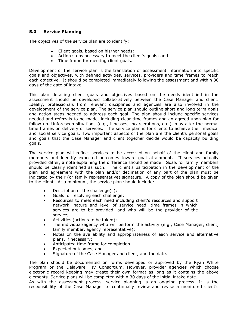# **5.0 Service Planning**

The objectives of the service plan are to identify:

- Client goals, based on his/her needs;
- Action steps necessary to meet the client's goals; and
- Time frame for meeting client goals.

Development of the service plan is the translation of assessment information into specific goals and objectives, with defined activities, services, providers and time frames to reach each objective. It should be completed immediately following the assessment and within 30 days of the date of intake.

This plan detailing client goals and objectives based on the needs identified in the assessment should be developed collaboratively between the Case Manager and client. Ideally, professionals from relevant disciplines and agencies are also involved in the development of the service plan. The service plan should outline short and long term goals and action steps needed to address each goal. The plan should include specific services needed and referrals to be made, including clear time frames and an agreed upon plan for follow-up*.* Unforeseen situations (e.g., illnesses, incarcerations, etc.), may alter the normal time frames on delivery of services. The service plan is for clients to achieve their medical and social service goals. Two important aspects of the plan are the client's personal goals and goals that the Case Manager and client together decide would be capacity building goals.

The service plan will reflect services to be accessed on behalf of the client and family members and identify expected outcomes toward goal attainment. If services actually provided differ, a note explaining the difference should be made. Goals for family members should be clearly identified as such. The client's participation in the development of the plan and agreement with the plan and/or declination of any part of the plan must be indicated by their (or family representative) signature. A copy of the plan should be given to the client. At a minimum, the service plan should include:

- Description of the challenge(s);
- Goals for resolving each challenge;
- Resources to meet each need including client's resources and support network, nature and level of service need, time frames in which services are to be provided, and who will be the provider of the service;
- Activities (actions to be taken);
- The individual/agency who will perform the activity (e.g., Case Manager, client, family member, agency representative);
- Notes on the availability and appropriateness of each service and alternative plans, if necessary;
- Anticipated time frame for completion;
- Expected outcomes, and
- Signature of the Case Manager and client, and the date.

The plan should be documented on forms developed or approved by the Ryan White Program or the Delaware HIV Consortium. However, provider agencies which choose electronic record keeping may create their own format as long as it contains the above elements. Service plans will be completed within 30 days of the initial intake date.

As with the assessment process, service planning is an ongoing process. It is the responsibility of the Case Manager to continually review and revise a monitored client's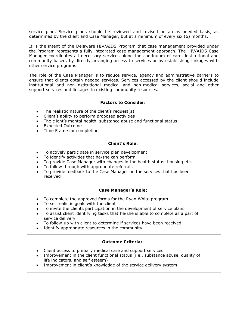service plan. Service plans should be reviewed and revised on an as needed basis, as determined by the client and Case Manager, but at a minimum of every six (6) months.

It is the intent of the Delaware HIV/AIDS Program that case management provided under the Program represents a fully integrated case management approach. The HIV/AIDS Case Manager coordinates all necessary services along the continuum of care, institutional and community based, by directly arranging access to services or by establishing linkages with other service programs.

The role of the Case Manager is to reduce service, agency and administrative barriers to ensure that clients obtain needed services. Services accessed by the client should include institutional and non-institutional medical and non-medical services, social and other support services and linkages to existing community resources.

## **Factors to Consider:**

- The realistic nature of the client's request(s)
- Client's ability to perform proposed activities
- The client's mental health, substance abuse and functional status
- Expected Outcome
- Time Frame for completion

#### **Client's Role:**

- To actively participate in service plan development
- To identify activities that he/she can perform
- To provide Case Manager with changes in the health status, housing etc.
- To follow through with appropriate referrals
- To provide feedback to the Case Manager on the services that has been received

#### **Case Manager's Role:**

- To complete the approved forms for the Ryan White program
- To set realistic goals with the client
- To invite the clients participation in the development of service plans
- To assist client identifying tasks that he/she is able to complete as a part of service delivery
- To follow-up with client to determine if services have been received
- Identify appropriate resources in the community

- Client access to primary medical care and support services
- Improvement in the client functional status (i.e., substance abuse, quality of life indicators, and self esteem)
- Improvement in client's knowledge of the service delivery system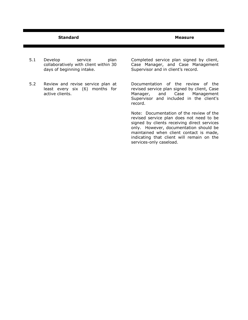- 5.1 Develop service plan collaboratively with client within 30 days of beginning intake.
- 5.2 Review and revise service plan at least every six (6) months for active clients.

Completed service plan signed by client, Case Manager, and Case Management Supervisor and in client's record.

Documentation of the review of the revised service plan signed by client, Case<br>Manager, and Case Management Manager, and Case Management Supervisor and included in the client's record.

Note: Documentation of the review of the revised service plan does not need to be signed by clients receiving direct services only. However, documentation should be maintained when client contact is made, indicating that client will remain on the services-only caseload.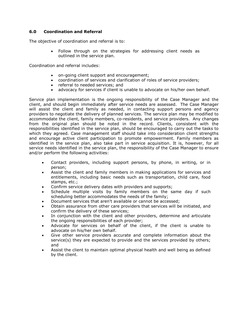# **6.0 Coordination and Referral**

The objective of coordination and referral is to:

 Follow through on the strategies for addressing client needs as outlined in the service plan.

Coordination and referral includes:

- on-going client support and encouragement;
- coordination of services and clarification of roles of service providers;
- referral to needed services; and
- advocacy for services if client is unable to advocate on his/her own behalf.

Service plan implementation is the ongoing responsibility of the Case Manager and the client, and should begin immediately after service needs are assessed. The Case Manager will assist the client and family as needed, in contacting support persons and agency providers to negotiate the delivery of planned services. The service plan may be modified to accommodate the client, family members, co-residents, and service providers. Any changes from the original plan should be noted in the record. Clients, consistent with the responsibilities identified in the service plan, should be encouraged to carry out the tasks to which they agreed. Case management staff should take into consideration client strengths and encourage active client participation to promote empowerment. Family members as identified in the service plan, also take part in service acquisition. It is, however, for all service needs identified in the service plan, the responsibility of the Case Manager to ensure and/or perform the following activities:

- Contact providers, including support persons, by phone, in writing, or in person;
- Assist the client and family members in making applications for services and entitlements, including basic needs such as transportation, child care, food stamps, etc.;
- Confirm service delivery dates with providers and supports;
- Schedule multiple visits by family members on the same day if such scheduling better accommodates the needs of the family;
- Document services that aren't available or cannot be accessed;
- Obtain assurance from other care providers that services will be initiated, and confirm the delivery of these services;
- In conjunction with the client and other providers, determine and articulate the ongoing responsibilities of each provider;
- Advocate for services on behalf of the client, if the client is unable to advocate on his/her own behalf.
- Give other service providers accurate and complete information about the service(s) they are expected to provide and the services provided by others; and
- Assist the client to maintain optimal physical health and well being as defined by the client.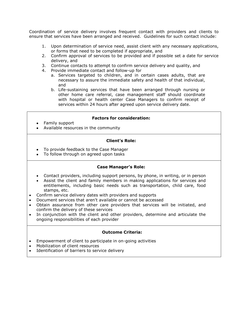Coordination of service delivery involves frequent contact with providers and clients to ensure that services have been arranged and received. Guidelines for such contact include:

- 1. Upon determination of service need, assist client with any necessary applications, or forms that need to be completed if appropriate, and
- 2. Confirm approval of services to be provided and if possible set a date for service delivery, and
- 3. Continue contacts to attempt to confirm service delivery and quality, and
- 4. Provide immediate contact and follow-up for
	- a. Services targeted to children, and in certain cases adults, that are necessary to assure the immediate safety and health of that individual, and
	- b. Life-sustaining services that have been arranged through nursing or other home care referral, case management staff should coordinate with hospital or health center Case Managers to confirm receipt of services within 24 hours after agreed upon service delivery date.

#### **Factors for consideration:**

- Family support
- Available resources in the community

#### **Client's Role:**

- To provide feedback to the Case Manager
- To follow through on agreed upon tasks

## **Case Manager's Role:**

- Contact providers, including support persons, by phone, in writing, or in person
- Assist the client and family members in making applications for services and entitlements, including basic needs such as transportation, child care, food stamps, etc.
- Confirm service delivery dates with providers and supports
- Document services that aren't available or cannot be accessed
- Obtain assurance from other care providers that services will be initiated, and confirm the delivery of these services
- In conjunction with the client and other providers, determine and articulate the ongoing responsibilities of each provider

- Empowerment of client to participate in on-going activities
- Mobilization of client resources
- Identification of barriers to service delivery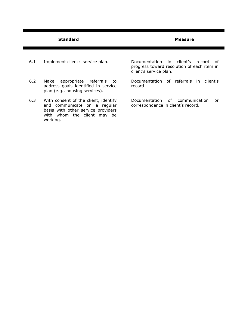- 6.1 Implement client's service plan.
- 6.2 Make appropriate referrals to address goals identified in service plan (e.g., housing services).
- 6.3 With consent of the client, identify and communicate on a regular basis with other service providers with whom the client may be working.

Documentation in client's record of progress toward resolution of each item in client's service plan.

Documentation of referrals in client's record.

Documentation of communication or correspondence in client's record.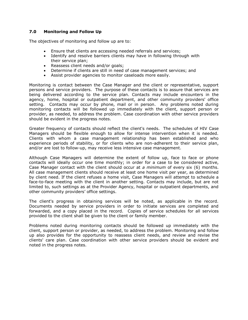# **7.0 Monitoring and Follow Up**

The objectives of monitoring and follow up are to:

- Ensure that clients are accessing needed referrals and services;
- Identify and resolve barriers clients may have in following through with their service plan;
- Reassess client needs and/or goals;
- Determine if clients are still in need of case management services; and
- Assist provider agencies to monitor caseloads more easily.

Monitoring is contact between the Case Manager and the client or representative, support persons and service providers. The purpose of these contacts is to assure that services are being delivered according to the service plan. Contacts may include encounters in the agency, home, hospital or outpatient department, and other community providers' office setting. Contacts may occur by phone, mail or in person. Any problems noted during monitoring contacts will be followed up immediately with the client, support person or provider, as needed, to address the problem. Case coordination with other service providers should be evident in the progress notes.

Greater frequency of contacts should reflect the client's needs. The schedules of HIV Case Managers should be flexible enough to allow for intense intervention when it is needed. Clients with whom a case management relationship has been established and who experience periods of stability, or for clients who are non-adherent to their service plan, and/or are lost to follow-up, may receive less intensive case management.

Although Case Managers will determine the extent of follow up, face to face or phone contacts will ideally occur one time monthly; in order for a case to be considered active, Case Manager contact with the client should occur at *a minimum* of every six (6) months. All case management clients should receive at least one home visit per year, as determined by client need. If the client refuses a home visit, Case Managers will attempt to schedule a face-to-face meeting with the client in another setting. Contacts may include, but are not limited to, such settings as at the Provider Agency, hospital or outpatient departments, and other community providers' office settings.

The client's progress in obtaining services will be noted, as applicable in the record. Documents needed by service providers in order to initiate services are completed and forwarded, and a copy placed in the record. Copies of service schedules for all services provided to the client shall be given to the client or family member.

Problems noted during monitoring contacts should be followed up immediately with the client, support person or provider, as needed, to address the problem. Monitoring and follow up also provides for the opportunity to reassess client needs, and review and revise the clients' care plan. Case coordination with other service providers should be evident and noted in the progress notes.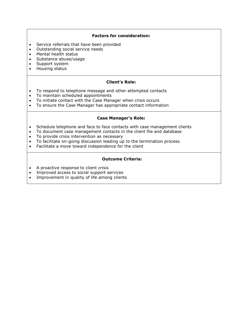# **Factors for consideration:**

- Service referrals that have been provided
- Outstanding social service needs
- Mental health status
- Substance abuse/usage
- Support system
- Housing status

## **Client's Role:**

- To respond to telephone message and other attempted contacts
- To maintain scheduled appointments
- To initiate contact with the Case Manager when crisis occurs
- To ensure the Case Manager has appropriate contact information

## **Case Manager's Role:**

- Schedule telephone and face to face contacts with case management clients
- To document case management contacts in the client file and database
- To provide crisis intervention as necessary
- To facilitate on-going discussion leading up to the termination process
- Facilitate a move toward independence for the client

- A proactive response to client crisis
- Improved access to social support services
- Improvement in quality of life among clients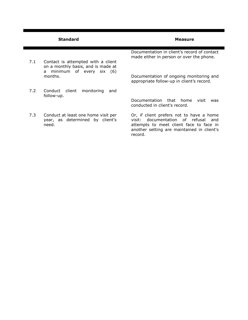|     | <b>Standard</b>                                                                 | <b>Measure</b>                                                                                                                                                                              |
|-----|---------------------------------------------------------------------------------|---------------------------------------------------------------------------------------------------------------------------------------------------------------------------------------------|
| 7.1 | Contact is attempted with a client<br>on a monthly basis, and is made at        | Documentation in client's record of contact<br>made either in person or over the phone.                                                                                                     |
|     | minimum of every six (6)<br>a<br>months.                                        | Documentation of ongoing monitoring and<br>appropriate follow-up in client's record.                                                                                                        |
| 7.2 | Conduct<br>client<br>monitoring<br>and<br>follow-up.                            | Documentation that home<br>visit<br>was<br>conducted in client's record.                                                                                                                    |
| 7.3 | Conduct at least one home visit per<br>year, as determined by client's<br>need. | Or, if client prefers not to have a home<br>documentation of refusal<br>visit: .<br>and<br>attempts to meet client face to face in<br>another setting are maintained in client's<br>record. |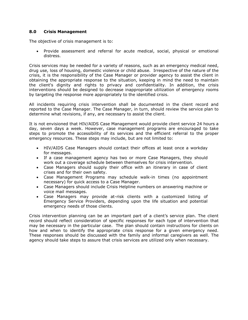# **8.0 Crisis Management**

The objective of crisis management is to:

 Provide assessment and referral for acute medical, social, physical or emotional distress.

Crisis services may be needed for a variety of reasons, such as an emergency medical need, drug use, loss of housing, domestic violence or child abuse. Irrespective of the nature of the crisis, it is the responsibility of the Case Manager or provider agency to assist the client in obtaining the appropriate response to the situation, keeping in mind the need to maintain the client's dignity and rights to privacy and confidentiality. In addition, the crisis interventions should be designed to decrease inappropriate utilization of emergency rooms by targeting the response more appropriately to the identified crisis.

All incidents requiring crisis intervention shall be documented in the client record and reported to the Case Manager. The Case Manager, in turn, should review the service plan to determine what revisions, if any, are necessary to assist the client.

It is not envisioned that HIV/AIDS Case Management would provide client service 24 hours a day, seven days a week. However, case management programs are encouraged to take steps to promote the accessibility of its services and the efficient referral to the proper emergency resources. These steps may include, but are not limited to:

- HIV/AIDS Case Managers should contact their offices at least once a workday for messages.
- If a case management agency has two or more Case Managers, they should work out a coverage schedule between themselves for crisis intervention.
- Case Managers should supply their office with an itinerary in case of client crises and for their own safety.
- Case Management Programs may schedule walk-in times (no appointment necessary) for quick access to a Case Manager.
- Case Managers should include Crisis Helpline numbers on answering machine or voice mail messages.
- Case Managers may provide at-risk clients with a customized listing of Emergency Service Providers, depending upon the life situation and potential emergency needs of those clients.

Crisis intervention planning can be an important part of a client's service plan. The client record should reflect consideration of specific responses for each type of intervention that may be necessary in the particular case. The plan should contain instructions for clients on how and when to identify the appropriate crisis response for a given emergency need. These responses should be discussed with the family and informal caregivers as well. The agency should take steps to assure that crisis services are utilized only when necessary.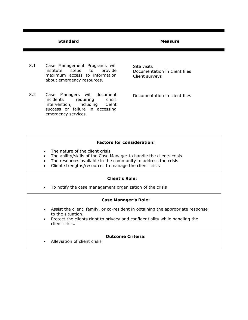- 8.1 Case Management Programs will institute steps to provide maximum access to information about emergency resources.
- 8.2 Case Managers will document incidents requiring crisis intervention, including client success or failure in accessing emergency services.

Site visits Documentation in client files Client surveys

Documentation in client files

# **Factors for consideration:**

- The nature of the client crisis
- The ability/skills of the Case Manager to handle the clients crisis
- The resources available in the community to address the crisis
- Client strengths/resources to manage the client crisis

## **Client's Role:**

To notify the case management organization of the crisis

#### **Case Manager's Role:**

- Assist the client, family, or co-resident in obtaining the appropriate response to the situation.
- Protect the clients right to privacy and confidentiality while handling the client crisis.

## **Outcome Criteria:**

Alleviation of client crisis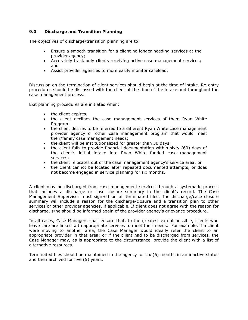# **9.0 Discharge and Transition Planning**

The objectives of discharge/transition planning are to:

- Ensure a smooth transition for a client no longer needing services at the provider agency;
- Accurately track only clients receiving active case management services; and
- Assist provider agencies to more easily monitor caseload.

Discussion on the termination of client services should begin at the time of intake. Re-entry procedures should be discussed with the client at the time of the intake and throughout the case management process.

Exit planning procedures are initiated when:

- the client expires:
- the client declines the case management services of them Ryan White Program;
- the client desires to be referred to a different Ryan White case management provider agency or other case management program that would meet their/family case management needs;
- the client will be institutionalized for greater than 30 days;
- the client fails to provide financial documentation within sixty (60) days of the client's initial intake into Ryan White funded case management services;
- the client relocates out of the case management agency's service area; or
- the client cannot be located after repeated documented attempts, or does not become engaged in service planning for six months.

A client may be discharged from case management services through a systematic process that includes a discharge or case closure summary in the client's record. The Case Management Supervisor must sign-off on all terminated files. The discharge/case closure summary will include a reason for the discharge/closure and a transition plan to other services or other provider agencies, if applicable. If client does not agree with the reason for discharge, s/he should be informed again of the provider agency's grievance procedure.

In all cases, Case Managers shall ensure that, to the greatest extent possible, clients who leave care are linked with appropriate services to meet their needs. For example, if a client were moving to another area, the Case Manager would ideally refer the client to an appropriate provider in that area; or if the client had to be discharged from services, the Case Manager may, as is appropriate to the circumstance, provide the client with a list of alternative resources.

Terminated files should be maintained in the agency for six (6) months in an inactive status and then archived for five (5) years.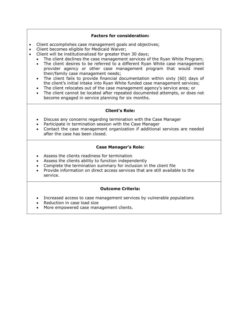# **Factors for consideration:**

- Client accomplishes case management goals and objectives;
- Client becomes eligible for Medicaid Waiver;
- Client will be institutionalized for greater than 30 days;
	- The client declines the case management services of the Ryan White Program;
		- The client desires to be referred to a different Ryan White case management provider agency or other case management program that would meet their/family case management needs;
	- The client fails to provide financial documentation within sixty (60) days of the client's initial intake into Ryan White funded case management services;
	- The client relocates out of the case management agency's service area; or
	- The client cannot be located after repeated documented attempts, or does not become engaged in service planning for six months.

## **Client's Role:**

- Discuss any concerns regarding termination with the Case Manager
- Participate in termination session with the Case Manager
- Contact the case management organization if additional services are needed after the case has been closed.

# **Case Manager's Role:**

- Assess the clients readiness for termination
- Assess the clients ability to function independently
- Complete the termination summary for inclusion in the client file
- Provide information on direct access services that are still available to the service.

- Increased access to case management services by vulnerable populations
- Reduction in case load size
- More empowered case management clients.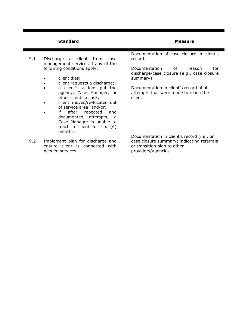- 9.1 Discharge a client from case management services if any of the following conditions apply:
	- client dies;
	- client requests a discharge;
	- a client's actions put the agency, Case Manager, or other clients at risk;
	- client moves/re-locates out of service area; and/or;
	- if after repeated and documented attempts, a Case Manager is unable to reach a client for six (6) months.
- 9.2 Implement plan for discharge and ensure client is connected with needed services.

Documentation of case closure in client's record.

Documentation of reason for discharge/case closure (e.g., case closure summary)

Documentation in client's record of all attempts that were made to reach the client.

Documentation in client's record (i.e., on case closure summary) indicating referrals or transition plan to other providers/agencies.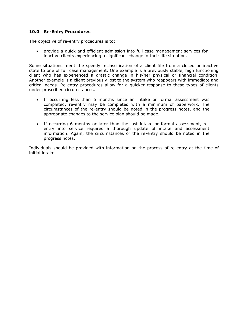# **10.0 Re-Entry Procedures**

The objective of re-entry procedures is to:

 provide a quick and efficient admission into full case management services for inactive clients experiencing a significant change in their life situation.

Some situations merit the speedy reclassification of a client file from a closed or inactive state to one of full case management. One example is a previously stable, high functioning client who has experienced a drastic change in his/her physical or financial condition. Another example is a client previously lost to the system who reappears with immediate and critical needs. Re-entry procedures allow for a quicker response to these types of clients under proscribed circumstances.

- If occurring less than 6 months since an intake or formal assessment was completed, re-entry may be completed with a minimum of paperwork. The circumstances of the re-entry should be noted in the progress notes, and the appropriate changes to the service plan should be made.
- If occurring 6 months or later than the last intake or formal assessment, reentry into service requires a thorough update of intake and assessment information. Again, the circumstances of the re-entry should be noted in the progress notes.

Individuals should be provided with information on the process of re-entry at the time of initial intake.